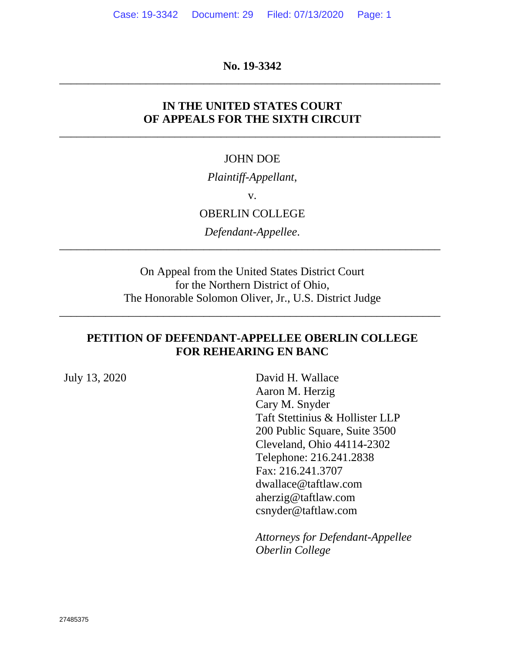## **No. 19-3342**  \_\_\_\_\_\_\_\_\_\_\_\_\_\_\_\_\_\_\_\_\_\_\_\_\_\_\_\_\_\_\_\_\_\_\_\_\_\_\_\_\_\_\_\_\_\_\_\_\_\_\_\_\_\_\_\_\_\_\_\_\_\_\_\_\_\_

# **IN THE UNITED STATES COURT OF APPEALS FOR THE SIXTH CIRCUIT**

\_\_\_\_\_\_\_\_\_\_\_\_\_\_\_\_\_\_\_\_\_\_\_\_\_\_\_\_\_\_\_\_\_\_\_\_\_\_\_\_\_\_\_\_\_\_\_\_\_\_\_\_\_\_\_\_\_\_\_\_\_\_\_\_\_\_

## JOHN DOE

*Plaintiff-Appellant*,

v.

## OBERLIN COLLEGE

*Defendant-Appellee*. \_\_\_\_\_\_\_\_\_\_\_\_\_\_\_\_\_\_\_\_\_\_\_\_\_\_\_\_\_\_\_\_\_\_\_\_\_\_\_\_\_\_\_\_\_\_\_\_\_\_\_\_\_\_\_\_\_\_\_\_\_\_\_\_\_\_

> On Appeal from the United States District Court for the Northern District of Ohio, The Honorable Solomon Oliver, Jr., U.S. District Judge

\_\_\_\_\_\_\_\_\_\_\_\_\_\_\_\_\_\_\_\_\_\_\_\_\_\_\_\_\_\_\_\_\_\_\_\_\_\_\_\_\_\_\_\_\_\_\_\_\_\_\_\_\_\_\_\_\_\_\_\_\_\_\_\_\_\_

## **PETITION OF DEFENDANT-APPELLEE OBERLIN COLLEGE FOR REHEARING EN BANC**

July 13, 2020 David H. Wallace Aaron M. Herzig Cary M. Snyder Taft Stettinius & Hollister LLP 200 Public Square, Suite 3500 Cleveland, Ohio 44114-2302 Telephone: 216.241.2838 Fax: 216.241.3707 dwallace@taftlaw.com aherzig@taftlaw.com csnyder@taftlaw.com

> *Attorneys for Defendant-Appellee Oberlin College*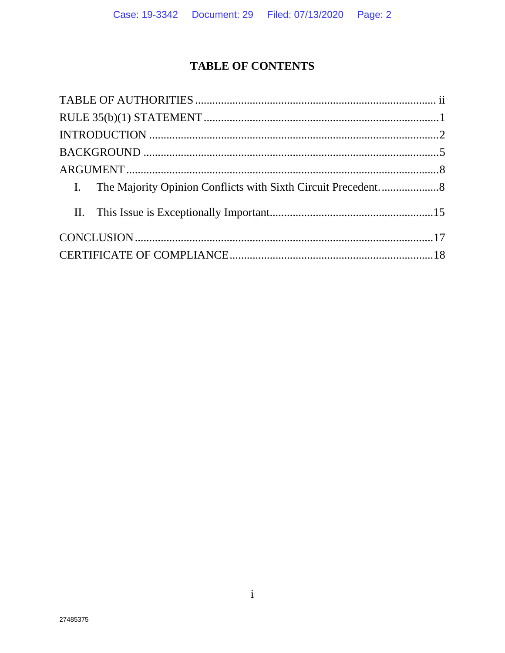# **TABLE OF CONTENTS**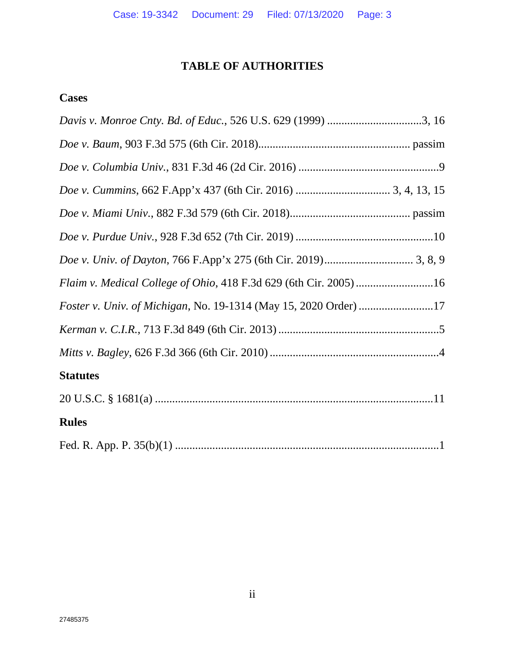# **TABLE OF AUTHORITIES**

## **Cases**

| Davis v. Monroe Cnty. Bd. of Educ., 526 U.S. 629 (1999) 3, 16     |
|-------------------------------------------------------------------|
|                                                                   |
|                                                                   |
|                                                                   |
|                                                                   |
|                                                                   |
|                                                                   |
| Flaim v. Medical College of Ohio, 418 F.3d 629 (6th Cir. 2005) 16 |
| Foster v. Univ. of Michigan, No. 19-1314 (May 15, 2020 Order) 17  |
|                                                                   |
|                                                                   |
| <b>Statutes</b>                                                   |
|                                                                   |
| <b>Rules</b>                                                      |
|                                                                   |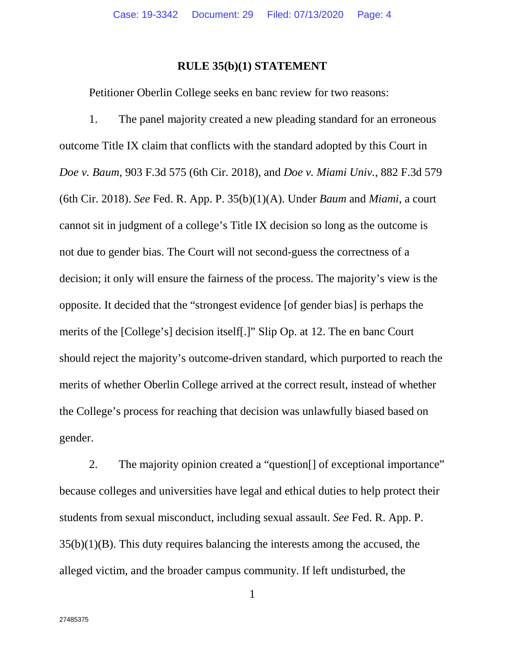## **RULE 35(b)(1) STATEMENT**

Petitioner Oberlin College seeks en banc review for two reasons:

1. The panel majority created a new pleading standard for an erroneous outcome Title IX claim that conflicts with the standard adopted by this Court in *Doe v. Baum*, 903 F.3d 575 (6th Cir. 2018), and *Doe v. Miami Univ.*, 882 F.3d 579 (6th Cir. 2018). *See* Fed. R. App. P. 35(b)(1)(A). Under *Baum* and *Miami*, a court cannot sit in judgment of a college's Title IX decision so long as the outcome is not due to gender bias. The Court will not second-guess the correctness of a decision; it only will ensure the fairness of the process. The majority's view is the opposite. It decided that the "strongest evidence [of gender bias] is perhaps the merits of the [College's] decision itself[.]" Slip Op. at 12. The en banc Court should reject the majority's outcome-driven standard, which purported to reach the merits of whether Oberlin College arrived at the correct result, instead of whether the College's process for reaching that decision was unlawfully biased based on gender.

2. The majority opinion created a "question[] of exceptional importance" because colleges and universities have legal and ethical duties to help protect their students from sexual misconduct, including sexual assault. *See* Fed. R. App. P.  $35(b)(1)(B)$ . This duty requires balancing the interests among the accused, the alleged victim, and the broader campus community. If left undisturbed, the

1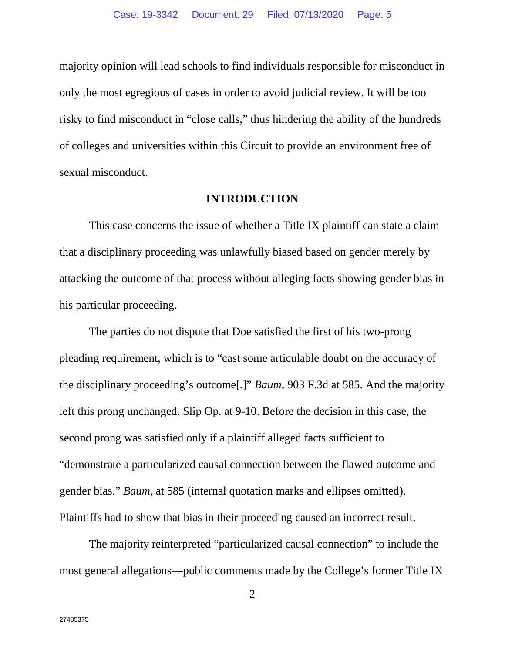majority opinion will lead schools to find individuals responsible for misconduct in only the most egregious of cases in order to avoid judicial review. It will be too risky to find misconduct in "close calls," thus hindering the ability of the hundreds of colleges and universities within this Circuit to provide an environment free of sexual misconduct.

#### **INTRODUCTION**

This case concerns the issue of whether a Title IX plaintiff can state a claim that a disciplinary proceeding was unlawfully biased based on gender merely by attacking the outcome of that process without alleging facts showing gender bias in his particular proceeding.

The parties do not dispute that Doe satisfied the first of his two-prong pleading requirement, which is to "cast some articulable doubt on the accuracy of the disciplinary proceeding's outcome[.]" *Baum*, 903 F.3d at 585. And the majority left this prong unchanged. Slip Op. at 9-10. Before the decision in this case, the second prong was satisfied only if a plaintiff alleged facts sufficient to "demonstrate a particularized causal connection between the flawed outcome and gender bias." *Baum*, at 585 (internal quotation marks and ellipses omitted). Plaintiffs had to show that bias in their proceeding caused an incorrect result.

The majority reinterpreted "particularized causal connection" to include the most general allegations—public comments made by the College's former Title IX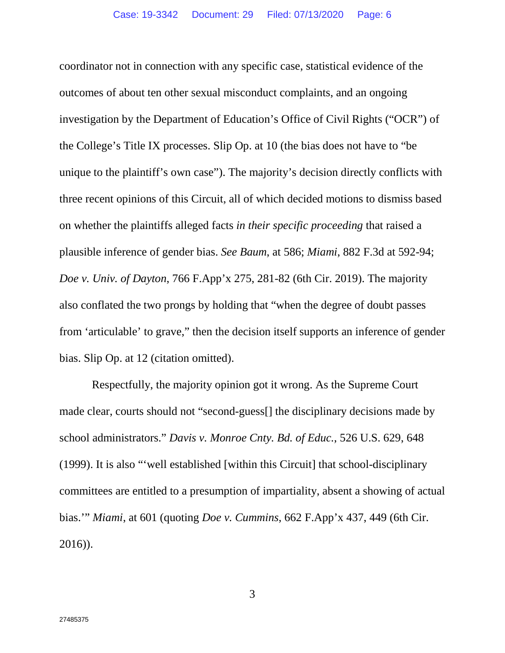coordinator not in connection with any specific case, statistical evidence of the outcomes of about ten other sexual misconduct complaints, and an ongoing investigation by the Department of Education's Office of Civil Rights ("OCR") of the College's Title IX processes. Slip Op. at 10 (the bias does not have to "be unique to the plaintiff's own case"). The majority's decision directly conflicts with three recent opinions of this Circuit, all of which decided motions to dismiss based on whether the plaintiffs alleged facts *in their specific proceeding* that raised a plausible inference of gender bias. *See Baum*, at 586; *Miami*, 882 F.3d at 592-94; *Doe v. Univ. of Dayton*, 766 F.App'x 275, 281-82 (6th Cir. 2019). The majority also conflated the two prongs by holding that "when the degree of doubt passes from 'articulable' to grave," then the decision itself supports an inference of gender bias. Slip Op. at 12 (citation omitted).

 Respectfully, the majority opinion got it wrong. As the Supreme Court made clear, courts should not "second-guess[] the disciplinary decisions made by school administrators." *Davis v. Monroe Cnty. Bd. of Educ.*, 526 U.S. 629, 648 (1999). It is also "'well established [within this Circuit] that school-disciplinary committees are entitled to a presumption of impartiality, absent a showing of actual bias.'" *Miami*, at 601 (quoting *Doe v. Cummins*, 662 F.App'x 437, 449 (6th Cir. 2016)).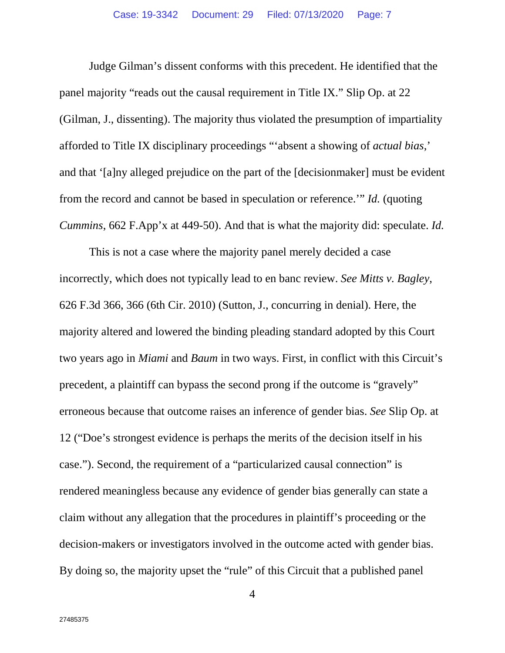Judge Gilman's dissent conforms with this precedent. He identified that the panel majority "reads out the causal requirement in Title IX." Slip Op. at 22 (Gilman, J., dissenting). The majority thus violated the presumption of impartiality afforded to Title IX disciplinary proceedings "'absent a showing of *actual bias*,' and that '[a]ny alleged prejudice on the part of the [decisionmaker] must be evident from the record and cannot be based in speculation or reference.'" *Id.* (quoting *Cummins*, 662 F.App'x at 449-50). And that is what the majority did: speculate. *Id.*

This is not a case where the majority panel merely decided a case incorrectly, which does not typically lead to en banc review. *See Mitts v. Bagley*, 626 F.3d 366, 366 (6th Cir. 2010) (Sutton, J., concurring in denial). Here, the majority altered and lowered the binding pleading standard adopted by this Court two years ago in *Miami* and *Baum* in two ways. First, in conflict with this Circuit's precedent, a plaintiff can bypass the second prong if the outcome is "gravely" erroneous because that outcome raises an inference of gender bias. *See* Slip Op. at 12 ("Doe's strongest evidence is perhaps the merits of the decision itself in his case."). Second, the requirement of a "particularized causal connection" is rendered meaningless because any evidence of gender bias generally can state a claim without any allegation that the procedures in plaintiff's proceeding or the decision-makers or investigators involved in the outcome acted with gender bias. By doing so, the majority upset the "rule" of this Circuit that a published panel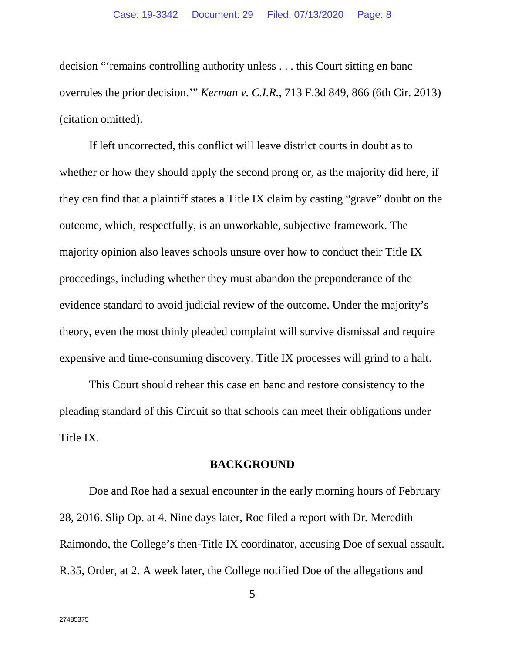decision "'remains controlling authority unless . . . this Court sitting en banc overrules the prior decision.'" *Kerman v. C.I.R.*, 713 F.3d 849, 866 (6th Cir. 2013) (citation omitted).

If left uncorrected, this conflict will leave district courts in doubt as to whether or how they should apply the second prong or, as the majority did here, if they can find that a plaintiff states a Title IX claim by casting "grave" doubt on the outcome, which, respectfully, is an unworkable, subjective framework. The majority opinion also leaves schools unsure over how to conduct their Title IX proceedings, including whether they must abandon the preponderance of the evidence standard to avoid judicial review of the outcome. Under the majority's theory, even the most thinly pleaded complaint will survive dismissal and require expensive and time-consuming discovery. Title IX processes will grind to a halt.

This Court should rehear this case en banc and restore consistency to the pleading standard of this Circuit so that schools can meet their obligations under Title IX.

## **BACKGROUND**

Doe and Roe had a sexual encounter in the early morning hours of February 28, 2016. Slip Op. at 4. Nine days later, Roe filed a report with Dr. Meredith Raimondo, the College's then-Title IX coordinator, accusing Doe of sexual assault. R.35, Order, at 2. A week later, the College notified Doe of the allegations and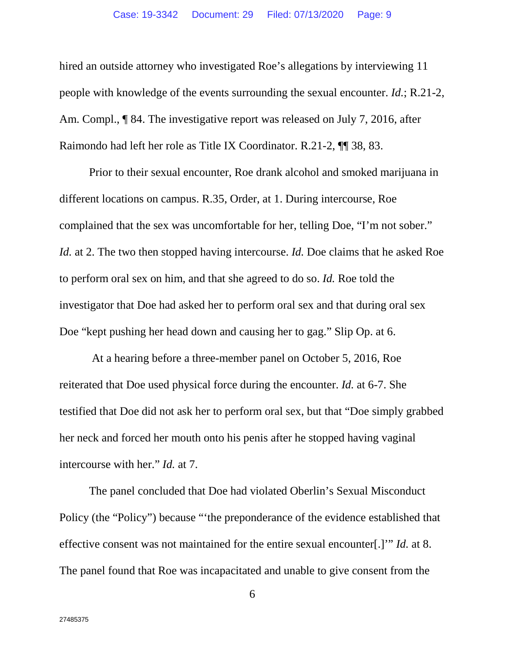hired an outside attorney who investigated Roe's allegations by interviewing 11 people with knowledge of the events surrounding the sexual encounter. *Id.*; R.21-2, Am. Compl., ¶ 84. The investigative report was released on July 7, 2016, after Raimondo had left her role as Title IX Coordinator. R.21-2, ¶¶ 38, 83.

Prior to their sexual encounter, Roe drank alcohol and smoked marijuana in different locations on campus. R.35, Order, at 1. During intercourse, Roe complained that the sex was uncomfortable for her, telling Doe, "I'm not sober." *Id.* at 2. The two then stopped having intercourse. *Id.* Doe claims that he asked Roe to perform oral sex on him, and that she agreed to do so. *Id.* Roe told the investigator that Doe had asked her to perform oral sex and that during oral sex Doe "kept pushing her head down and causing her to gag." Slip Op. at 6.

 At a hearing before a three-member panel on October 5, 2016, Roe reiterated that Doe used physical force during the encounter. *Id.* at 6-7. She testified that Doe did not ask her to perform oral sex, but that "Doe simply grabbed her neck and forced her mouth onto his penis after he stopped having vaginal intercourse with her." *Id.* at 7.

The panel concluded that Doe had violated Oberlin's Sexual Misconduct Policy (the "Policy") because "'the preponderance of the evidence established that effective consent was not maintained for the entire sexual encounter[.]'" *Id.* at 8. The panel found that Roe was incapacitated and unable to give consent from the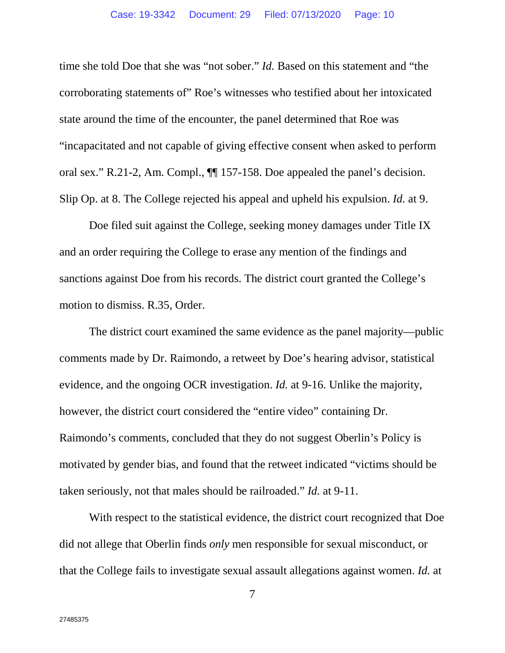time she told Doe that she was "not sober." *Id.* Based on this statement and "the corroborating statements of" Roe's witnesses who testified about her intoxicated state around the time of the encounter, the panel determined that Roe was "incapacitated and not capable of giving effective consent when asked to perform oral sex." R.21-2, Am. Compl., ¶¶ 157-158. Doe appealed the panel's decision. Slip Op. at 8. The College rejected his appeal and upheld his expulsion. *Id.* at 9.

Doe filed suit against the College, seeking money damages under Title IX and an order requiring the College to erase any mention of the findings and sanctions against Doe from his records. The district court granted the College's motion to dismiss. R.35, Order.

The district court examined the same evidence as the panel majority—public comments made by Dr. Raimondo, a retweet by Doe's hearing advisor, statistical evidence, and the ongoing OCR investigation. *Id.* at 9-16. Unlike the majority, however, the district court considered the "entire video" containing Dr. Raimondo's comments, concluded that they do not suggest Oberlin's Policy is motivated by gender bias, and found that the retweet indicated "victims should be taken seriously, not that males should be railroaded." *Id.* at 9-11.

With respect to the statistical evidence, the district court recognized that Doe did not allege that Oberlin finds *only* men responsible for sexual misconduct, or that the College fails to investigate sexual assault allegations against women. *Id.* at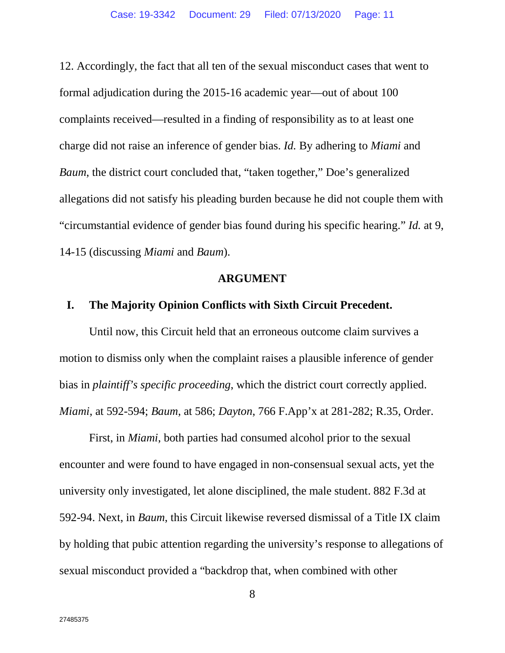12. Accordingly, the fact that all ten of the sexual misconduct cases that went to formal adjudication during the 2015-16 academic year—out of about 100 complaints received—resulted in a finding of responsibility as to at least one charge did not raise an inference of gender bias. *Id.* By adhering to *Miami* and *Baum*, the district court concluded that, "taken together," Doe's generalized allegations did not satisfy his pleading burden because he did not couple them with "circumstantial evidence of gender bias found during his specific hearing." *Id.* at 9, 14-15 (discussing *Miami* and *Baum*).

## **ARGUMENT**

## **I. The Majority Opinion Conflicts with Sixth Circuit Precedent.**

Until now, this Circuit held that an erroneous outcome claim survives a motion to dismiss only when the complaint raises a plausible inference of gender bias in *plaintiff's specific proceeding*, which the district court correctly applied. *Miami*, at 592-594; *Baum*, at 586; *Dayton*, 766 F.App'x at 281-282; R.35, Order.

First, in *Miami*, both parties had consumed alcohol prior to the sexual encounter and were found to have engaged in non-consensual sexual acts, yet the university only investigated, let alone disciplined, the male student. 882 F.3d at 592-94. Next, in *Baum*, this Circuit likewise reversed dismissal of a Title IX claim by holding that pubic attention regarding the university's response to allegations of sexual misconduct provided a "backdrop that, when combined with other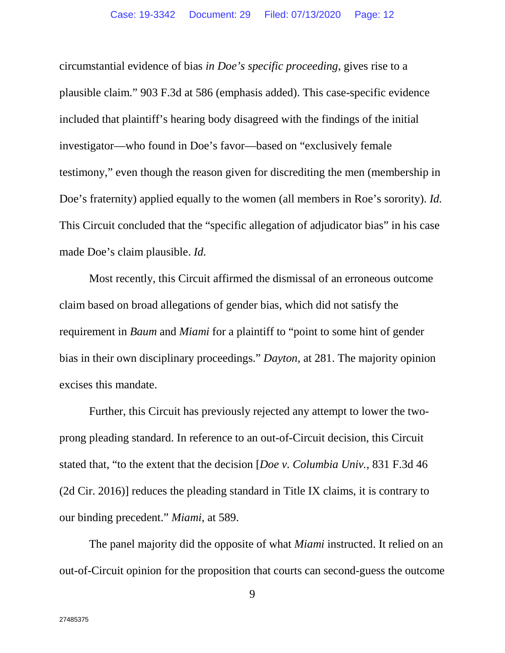circumstantial evidence of bias *in Doe's specific proceeding*, gives rise to a plausible claim." 903 F.3d at 586 (emphasis added). This case-specific evidence included that plaintiff's hearing body disagreed with the findings of the initial investigator—who found in Doe's favor—based on "exclusively female testimony," even though the reason given for discrediting the men (membership in Doe's fraternity) applied equally to the women (all members in Roe's sorority). *Id.* This Circuit concluded that the "specific allegation of adjudicator bias" in his case made Doe's claim plausible. *Id.*

Most recently, this Circuit affirmed the dismissal of an erroneous outcome claim based on broad allegations of gender bias, which did not satisfy the requirement in *Baum* and *Miami* for a plaintiff to "point to some hint of gender bias in their own disciplinary proceedings." *Dayton*, at 281. The majority opinion excises this mandate.

Further, this Circuit has previously rejected any attempt to lower the twoprong pleading standard. In reference to an out-of-Circuit decision, this Circuit stated that, "to the extent that the decision [*Doe v. Columbia Univ.*, 831 F.3d 46 (2d Cir. 2016)] reduces the pleading standard in Title IX claims, it is contrary to our binding precedent." *Miami*, at 589.

The panel majority did the opposite of what *Miami* instructed. It relied on an out-of-Circuit opinion for the proposition that courts can second-guess the outcome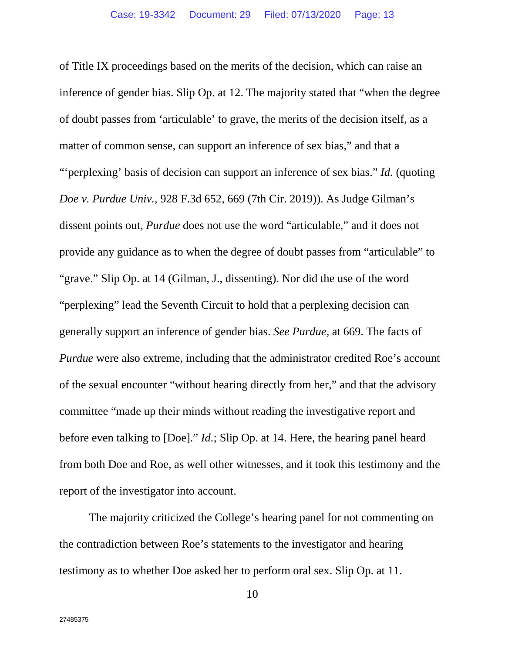of Title IX proceedings based on the merits of the decision, which can raise an inference of gender bias. Slip Op. at 12. The majority stated that "when the degree of doubt passes from 'articulable' to grave, the merits of the decision itself, as a matter of common sense, can support an inference of sex bias," and that a "'perplexing' basis of decision can support an inference of sex bias." *Id.* (quoting *Doe v. Purdue Univ.*, 928 F.3d 652, 669 (7th Cir. 2019)). As Judge Gilman's dissent points out, *Purdue* does not use the word "articulable," and it does not provide any guidance as to when the degree of doubt passes from "articulable" to "grave." Slip Op. at 14 (Gilman, J., dissenting). Nor did the use of the word "perplexing" lead the Seventh Circuit to hold that a perplexing decision can generally support an inference of gender bias. *See Purdue*, at 669. The facts of *Purdue* were also extreme, including that the administrator credited Roe's account of the sexual encounter "without hearing directly from her," and that the advisory committee "made up their minds without reading the investigative report and before even talking to [Doe]." *Id.*; Slip Op. at 14. Here, the hearing panel heard from both Doe and Roe, as well other witnesses, and it took this testimony and the report of the investigator into account.

The majority criticized the College's hearing panel for not commenting on the contradiction between Roe's statements to the investigator and hearing testimony as to whether Doe asked her to perform oral sex. Slip Op. at 11.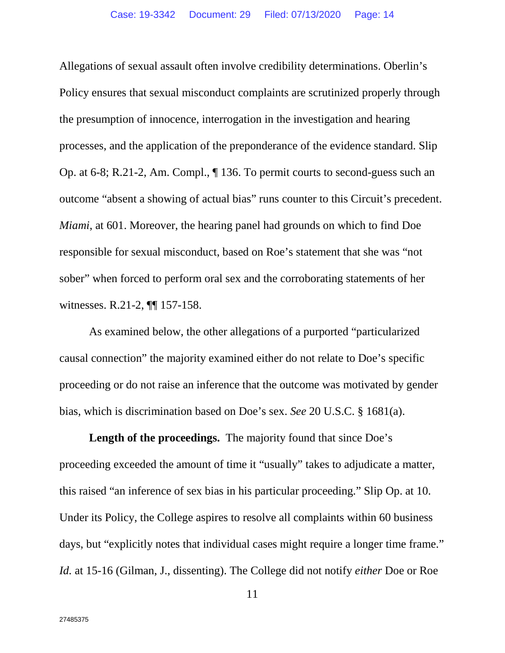Allegations of sexual assault often involve credibility determinations. Oberlin's Policy ensures that sexual misconduct complaints are scrutinized properly through the presumption of innocence, interrogation in the investigation and hearing processes, and the application of the preponderance of the evidence standard. Slip Op. at 6-8; R.21-2, Am. Compl., ¶ 136. To permit courts to second-guess such an outcome "absent a showing of actual bias" runs counter to this Circuit's precedent. *Miami*, at 601. Moreover, the hearing panel had grounds on which to find Doe responsible for sexual misconduct, based on Roe's statement that she was "not sober" when forced to perform oral sex and the corroborating statements of her witnesses. R.21-2, ¶¶ 157-158.

As examined below, the other allegations of a purported "particularized causal connection" the majority examined either do not relate to Doe's specific proceeding or do not raise an inference that the outcome was motivated by gender bias, which is discrimination based on Doe's sex. *See* 20 U.S.C. § 1681(a).

Length of the proceedings. The majority found that since Doe's proceeding exceeded the amount of time it "usually" takes to adjudicate a matter, this raised "an inference of sex bias in his particular proceeding." Slip Op. at 10. Under its Policy, the College aspires to resolve all complaints within 60 business days, but "explicitly notes that individual cases might require a longer time frame." *Id.* at 15-16 (Gilman, J., dissenting). The College did not notify *either* Doe or Roe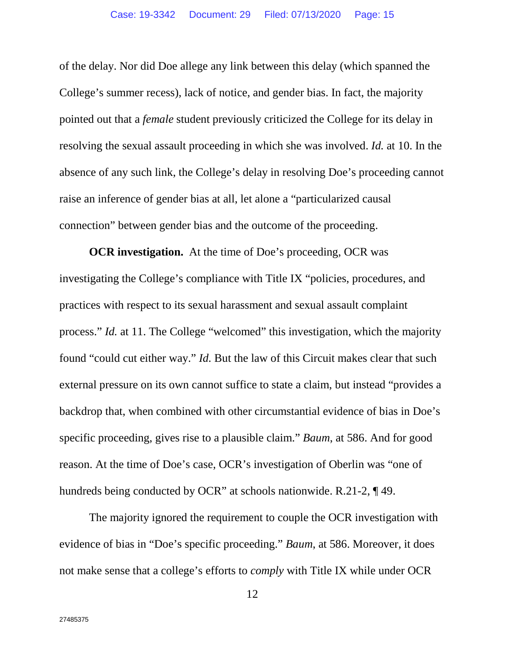of the delay. Nor did Doe allege any link between this delay (which spanned the College's summer recess), lack of notice, and gender bias. In fact, the majority pointed out that a *female* student previously criticized the College for its delay in resolving the sexual assault proceeding in which she was involved. *Id.* at 10. In the absence of any such link, the College's delay in resolving Doe's proceeding cannot raise an inference of gender bias at all, let alone a "particularized causal connection" between gender bias and the outcome of the proceeding.

**OCR investigation.** At the time of Doe's proceeding, OCR was investigating the College's compliance with Title IX "policies, procedures, and practices with respect to its sexual harassment and sexual assault complaint process." *Id.* at 11. The College "welcomed" this investigation, which the majority found "could cut either way." *Id.* But the law of this Circuit makes clear that such external pressure on its own cannot suffice to state a claim, but instead "provides a backdrop that, when combined with other circumstantial evidence of bias in Doe's specific proceeding, gives rise to a plausible claim." *Baum*, at 586. And for good reason. At the time of Doe's case, OCR's investigation of Oberlin was "one of hundreds being conducted by OCR" at schools nationwide. R.21-2, ¶ 49.

The majority ignored the requirement to couple the OCR investigation with evidence of bias in "Doe's specific proceeding." *Baum*, at 586. Moreover, it does not make sense that a college's efforts to *comply* with Title IX while under OCR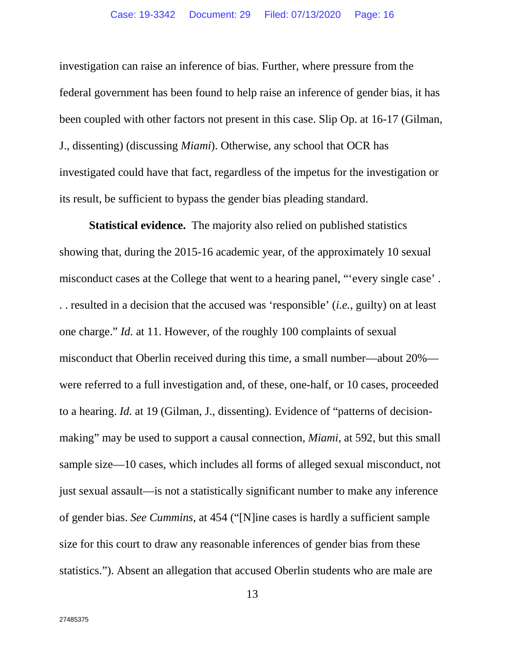investigation can raise an inference of bias. Further, where pressure from the federal government has been found to help raise an inference of gender bias, it has been coupled with other factors not present in this case. Slip Op. at 16-17 (Gilman, J., dissenting) (discussing *Miami*). Otherwise, any school that OCR has investigated could have that fact, regardless of the impetus for the investigation or its result, be sufficient to bypass the gender bias pleading standard.

**Statistical evidence.** The majority also relied on published statistics showing that, during the 2015-16 academic year, of the approximately 10 sexual misconduct cases at the College that went to a hearing panel, "'every single case' . . . resulted in a decision that the accused was 'responsible' (*i.e.*, guilty) on at least one charge." *Id.* at 11. However, of the roughly 100 complaints of sexual misconduct that Oberlin received during this time, a small number—about 20% were referred to a full investigation and, of these, one-half, or 10 cases, proceeded to a hearing. *Id.* at 19 (Gilman, J., dissenting). Evidence of "patterns of decisionmaking" may be used to support a causal connection, *Miami*, at 592, but this small sample size—10 cases, which includes all forms of alleged sexual misconduct, not just sexual assault—is not a statistically significant number to make any inference of gender bias. *See Cummins*, at 454 ("[N]ine cases is hardly a sufficient sample size for this court to draw any reasonable inferences of gender bias from these statistics."). Absent an allegation that accused Oberlin students who are male are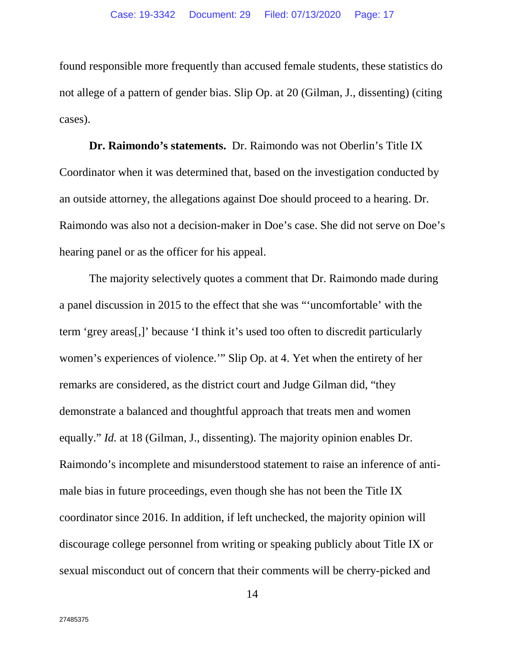found responsible more frequently than accused female students, these statistics do not allege of a pattern of gender bias. Slip Op. at 20 (Gilman, J., dissenting) (citing cases).

**Dr. Raimondo's statements.** Dr. Raimondo was not Oberlin's Title IX Coordinator when it was determined that, based on the investigation conducted by an outside attorney, the allegations against Doe should proceed to a hearing. Dr. Raimondo was also not a decision-maker in Doe's case. She did not serve on Doe's hearing panel or as the officer for his appeal.

The majority selectively quotes a comment that Dr. Raimondo made during a panel discussion in 2015 to the effect that she was "'uncomfortable' with the term 'grey areas[,]' because 'I think it's used too often to discredit particularly women's experiences of violence.'" Slip Op. at 4. Yet when the entirety of her remarks are considered, as the district court and Judge Gilman did, "they demonstrate a balanced and thoughtful approach that treats men and women equally." *Id.* at 18 (Gilman, J., dissenting). The majority opinion enables Dr. Raimondo's incomplete and misunderstood statement to raise an inference of antimale bias in future proceedings, even though she has not been the Title IX coordinator since 2016. In addition, if left unchecked, the majority opinion will discourage college personnel from writing or speaking publicly about Title IX or sexual misconduct out of concern that their comments will be cherry-picked and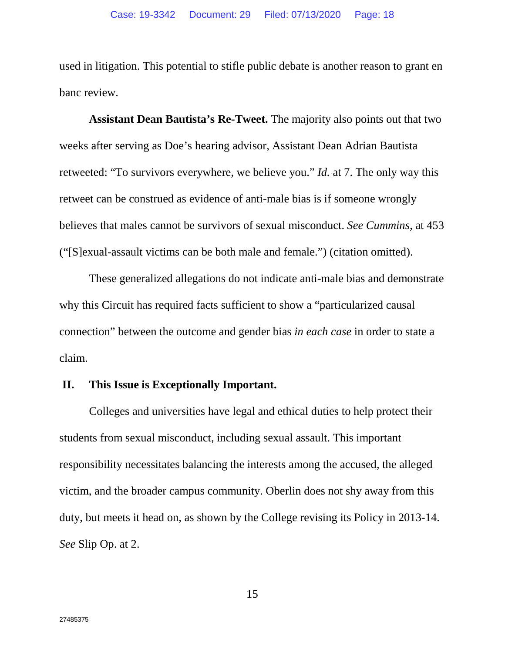used in litigation. This potential to stifle public debate is another reason to grant en banc review.

**Assistant Dean Bautista's Re-Tweet.** The majority also points out that two weeks after serving as Doe's hearing advisor, Assistant Dean Adrian Bautista retweeted: "To survivors everywhere, we believe you." *Id.* at 7. The only way this retweet can be construed as evidence of anti-male bias is if someone wrongly believes that males cannot be survivors of sexual misconduct. *See Cummins*, at 453 ("[S]exual-assault victims can be both male and female.") (citation omitted).

These generalized allegations do not indicate anti-male bias and demonstrate why this Circuit has required facts sufficient to show a "particularized causal connection" between the outcome and gender bias *in each case* in order to state a claim.

## **II. This Issue is Exceptionally Important.**

Colleges and universities have legal and ethical duties to help protect their students from sexual misconduct, including sexual assault. This important responsibility necessitates balancing the interests among the accused, the alleged victim, and the broader campus community. Oberlin does not shy away from this duty, but meets it head on, as shown by the College revising its Policy in 2013-14. *See* Slip Op. at 2.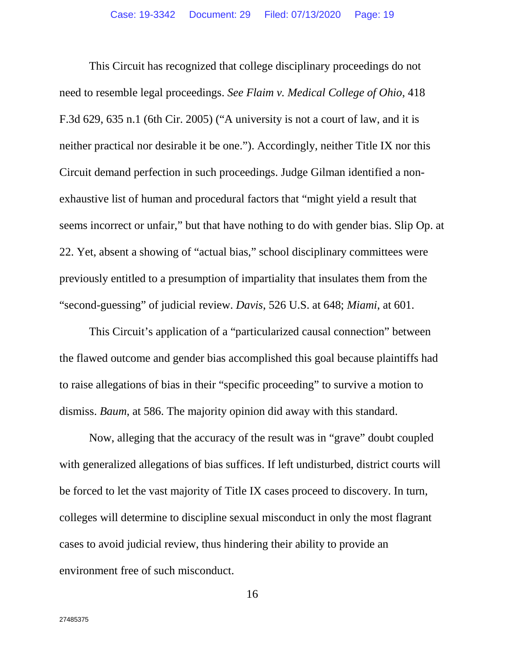This Circuit has recognized that college disciplinary proceedings do not need to resemble legal proceedings. *See Flaim v. Medical College of Ohio*, 418 F.3d 629, 635 n.1 (6th Cir. 2005) ("A university is not a court of law, and it is neither practical nor desirable it be one."). Accordingly, neither Title IX nor this Circuit demand perfection in such proceedings. Judge Gilman identified a nonexhaustive list of human and procedural factors that "might yield a result that seems incorrect or unfair," but that have nothing to do with gender bias. Slip Op. at 22. Yet, absent a showing of "actual bias," school disciplinary committees were previously entitled to a presumption of impartiality that insulates them from the "second-guessing" of judicial review. *Davis*, 526 U.S. at 648; *Miami*, at 601.

This Circuit's application of a "particularized causal connection" between the flawed outcome and gender bias accomplished this goal because plaintiffs had to raise allegations of bias in their "specific proceeding" to survive a motion to dismiss. *Baum*, at 586. The majority opinion did away with this standard.

Now, alleging that the accuracy of the result was in "grave" doubt coupled with generalized allegations of bias suffices. If left undisturbed, district courts will be forced to let the vast majority of Title IX cases proceed to discovery. In turn, colleges will determine to discipline sexual misconduct in only the most flagrant cases to avoid judicial review, thus hindering their ability to provide an environment free of such misconduct.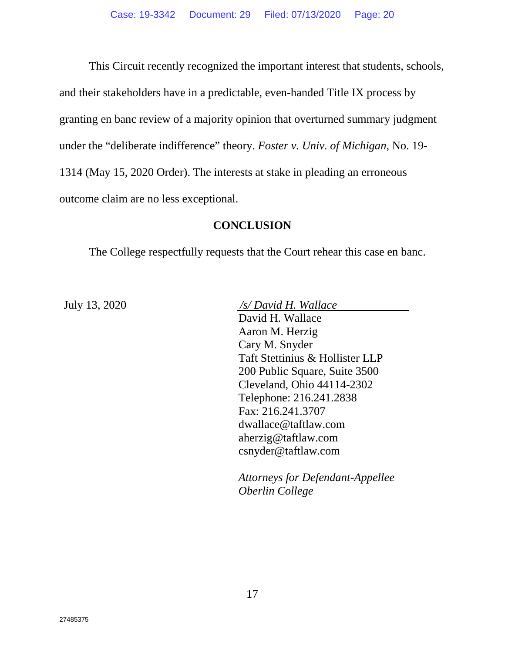This Circuit recently recognized the important interest that students, schools, and their stakeholders have in a predictable, even-handed Title IX process by granting en banc review of a majority opinion that overturned summary judgment under the "deliberate indifference" theory. *Foster v. Univ. of Michigan*, No. 19- 1314 (May 15, 2020 Order). The interests at stake in pleading an erroneous outcome claim are no less exceptional.

## **CONCLUSION**

The College respectfully requests that the Court rehear this case en banc.

July 13, 2020 */s/ David H. Wallace* David H. Wallace Aaron M. Herzig Cary M. Snyder Taft Stettinius & Hollister LLP 200 Public Square, Suite 3500 Cleveland, Ohio 44114-2302 Telephone: 216.241.2838 Fax: 216.241.3707 dwallace@taftlaw.com aherzig@taftlaw.com csnyder@taftlaw.com

> *Attorneys for Defendant-Appellee Oberlin College*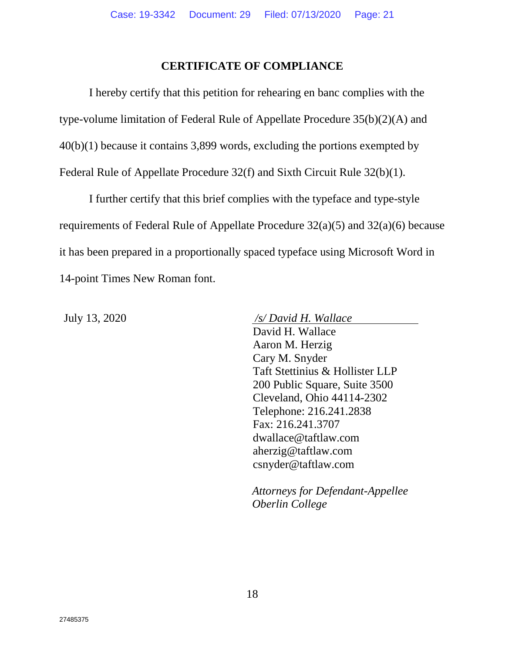## **CERTIFICATE OF COMPLIANCE**

I hereby certify that this petition for rehearing en banc complies with the type-volume limitation of Federal Rule of Appellate Procedure 35(b)(2)(A) and 40(b)(1) because it contains 3,899 words, excluding the portions exempted by Federal Rule of Appellate Procedure 32(f) and Sixth Circuit Rule 32(b)(1).

I further certify that this brief complies with the typeface and type-style requirements of Federal Rule of Appellate Procedure 32(a)(5) and 32(a)(6) because it has been prepared in a proportionally spaced typeface using Microsoft Word in 14-point Times New Roman font.

July 13, 2020 */s/ David H. Wallace* David H. Wallace Aaron M. Herzig Cary M. Snyder Taft Stettinius & Hollister LLP 200 Public Square, Suite 3500 Cleveland, Ohio 44114-2302 Telephone: 216.241.2838 Fax: 216.241.3707 dwallace@taftlaw.com aherzig@taftlaw.com csnyder@taftlaw.com

> *Attorneys for Defendant-Appellee Oberlin College*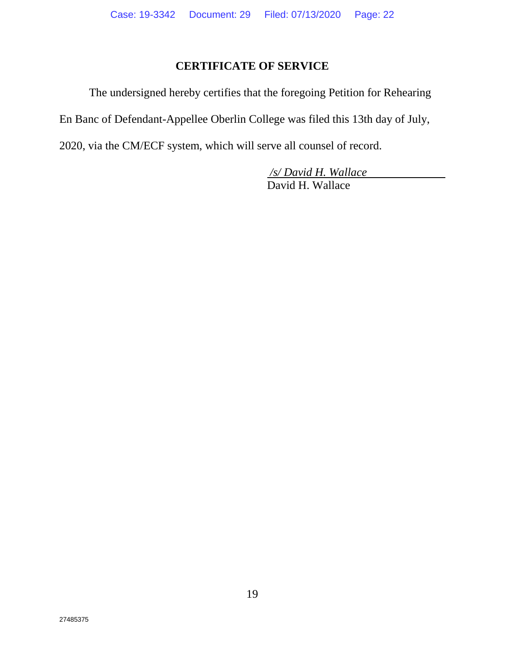# **CERTIFICATE OF SERVICE**

The undersigned hereby certifies that the foregoing Petition for Rehearing

En Banc of Defendant-Appellee Oberlin College was filed this 13th day of July,

2020, via the CM/ECF system, which will serve all counsel of record.

*/s/ David H. Wallace* David H. Wallace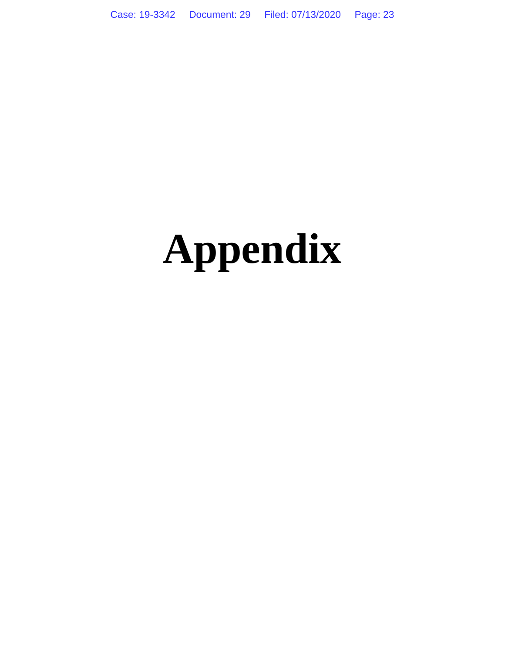# **Appendix**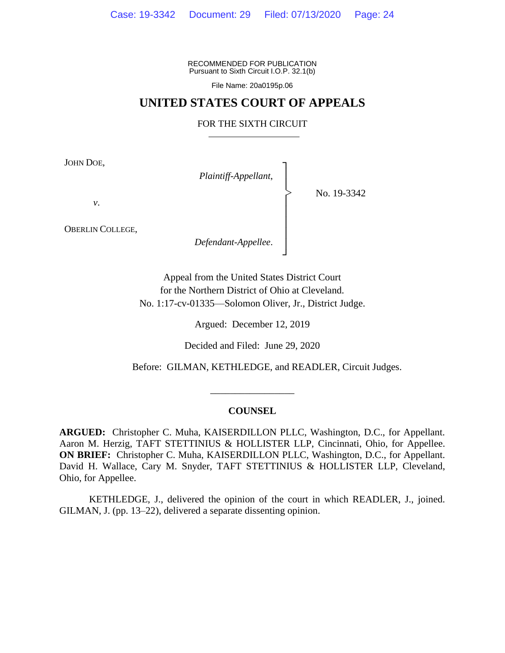RECOMMENDED FOR PUBLICATION Pursuant to Sixth Circuit I.O.P. 32.1(b)

File Name: 20a0195p.06

## **UNITED STATES COURT OF APPEALS**

#### FOR THE SIXTH CIRCUIT

┐

│ │ │ │ │ │ ┘

|<br>|<br>|

JOHN DOE,

*Plaintiff-Appellant*, │

No. 19-3342

*v*.

OBERLIN COLLEGE,

*Defendant-Appellee*.

Appeal from the United States District Court for the Northern District of Ohio at Cleveland. No. 1:17-cv-01335—Solomon Oliver, Jr., District Judge.

Argued: December 12, 2019

Decided and Filed: June 29, 2020

Before: GILMAN, KETHLEDGE, and READLER, Circuit Judges.

#### **COUNSEL**

\_\_\_\_\_\_\_\_\_\_\_\_\_\_\_\_\_

**ARGUED:** Christopher C. Muha, KAISERDILLON PLLC, Washington, D.C., for Appellant. Aaron M. Herzig, TAFT STETTINIUS & HOLLISTER LLP, Cincinnati, Ohio, for Appellee. **ON BRIEF:** Christopher C. Muha, KAISERDILLON PLLC, Washington, D.C., for Appellant. David H. Wallace, Cary M. Snyder, TAFT STETTINIUS & HOLLISTER LLP, Cleveland, Ohio, for Appellee.

KETHLEDGE, J., delivered the opinion of the court in which READLER, J., joined. GILMAN, J. (pp. 13–22), delivered a separate dissenting opinion.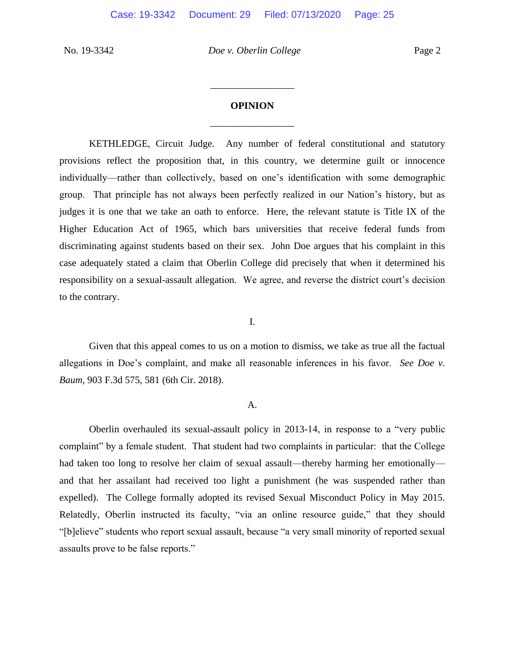# **OPINION** \_\_\_\_\_\_\_\_\_\_\_\_\_\_\_\_\_

\_\_\_\_\_\_\_\_\_\_\_\_\_\_\_\_\_

KETHLEDGE, Circuit Judge. Any number of federal constitutional and statutory provisions reflect the proposition that, in this country, we determine guilt or innocence individually—rather than collectively, based on one's identification with some demographic group. That principle has not always been perfectly realized in our Nation's history, but as judges it is one that we take an oath to enforce. Here, the relevant statute is Title IX of the Higher Education Act of 1965, which bars universities that receive federal funds from discriminating against students based on their sex. John Doe argues that his complaint in this case adequately stated a claim that Oberlin College did precisely that when it determined his responsibility on a sexual-assault allegation. We agree, and reverse the district court's decision to the contrary.

I.

Given that this appeal comes to us on a motion to dismiss, we take as true all the factual allegations in Doe's complaint, and make all reasonable inferences in his favor. *See Doe v. Baum*, 903 F.3d 575, 581 (6th Cir. 2018).

#### A.

Oberlin overhauled its sexual-assault policy in 2013-14, in response to a "very public complaint" by a female student. That student had two complaints in particular: that the College had taken too long to resolve her claim of sexual assault—thereby harming her emotionally and that her assailant had received too light a punishment (he was suspended rather than expelled). The College formally adopted its revised Sexual Misconduct Policy in May 2015. Relatedly, Oberlin instructed its faculty, "via an online resource guide," that they should "[b]elieve" students who report sexual assault, because "a very small minority of reported sexual assaults prove to be false reports."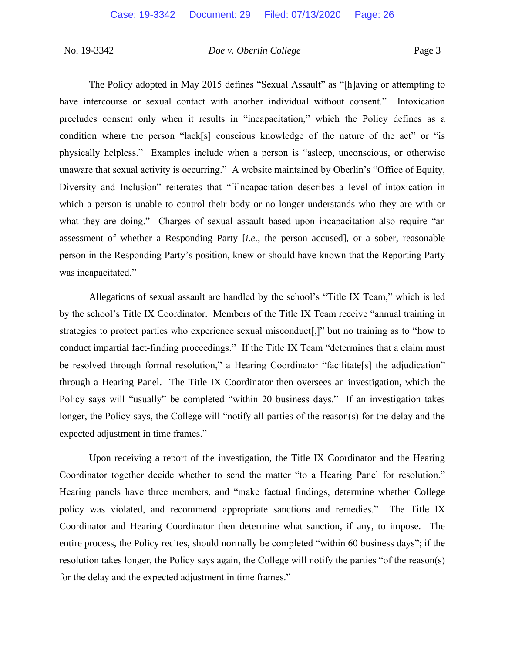The Policy adopted in May 2015 defines "Sexual Assault" as "[h]aving or attempting to have intercourse or sexual contact with another individual without consent." Intoxication precludes consent only when it results in "incapacitation," which the Policy defines as a condition where the person "lack[s] conscious knowledge of the nature of the act" or "is physically helpless." Examples include when a person is "asleep, unconscious, or otherwise unaware that sexual activity is occurring." A website maintained by Oberlin's "Office of Equity, Diversity and Inclusion" reiterates that "[i]ncapacitation describes a level of intoxication in which a person is unable to control their body or no longer understands who they are with or what they are doing." Charges of sexual assault based upon incapacitation also require "an assessment of whether a Responding Party [*i.e.*, the person accused], or a sober, reasonable person in the Responding Party's position, knew or should have known that the Reporting Party was incapacitated."

Allegations of sexual assault are handled by the school's "Title IX Team," which is led by the school's Title IX Coordinator. Members of the Title IX Team receive "annual training in strategies to protect parties who experience sexual misconduct[,]" but no training as to "how to conduct impartial fact-finding proceedings." If the Title IX Team "determines that a claim must be resolved through formal resolution," a Hearing Coordinator "facilitate [s] the adjudication" through a Hearing Panel. The Title IX Coordinator then oversees an investigation, which the Policy says will "usually" be completed "within 20 business days." If an investigation takes longer, the Policy says, the College will "notify all parties of the reason(s) for the delay and the expected adjustment in time frames."

Upon receiving a report of the investigation, the Title IX Coordinator and the Hearing Coordinator together decide whether to send the matter "to a Hearing Panel for resolution." Hearing panels have three members, and "make factual findings, determine whether College policy was violated, and recommend appropriate sanctions and remedies." The Title IX Coordinator and Hearing Coordinator then determine what sanction, if any, to impose. The entire process, the Policy recites, should normally be completed "within 60 business days"; if the resolution takes longer, the Policy says again, the College will notify the parties "of the reason(s) for the delay and the expected adjustment in time frames."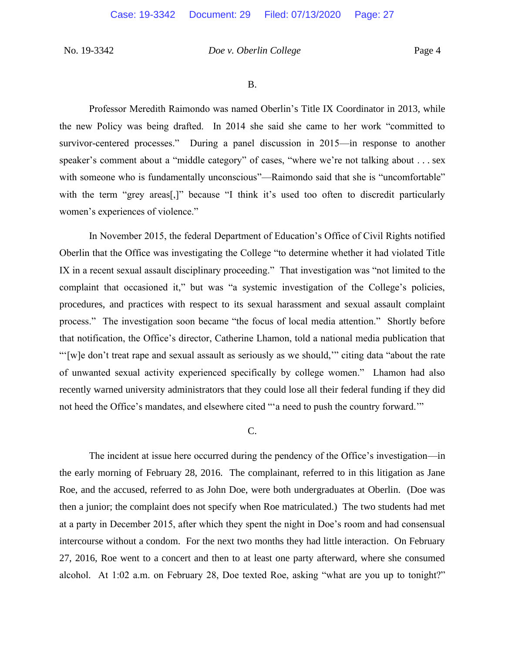B.

Professor Meredith Raimondo was named Oberlin's Title IX Coordinator in 2013, while the new Policy was being drafted. In 2014 she said she came to her work "committed to survivor-centered processes." During a panel discussion in 2015—in response to another speaker's comment about a "middle category" of cases, "where we're not talking about . . . sex with someone who is fundamentally unconscious"—Raimondo said that she is "uncomfortable" with the term "grey areas<sup>[1]</sup>," because "I think it's used too often to discredit particularly women's experiences of violence."

In November 2015, the federal Department of Education's Office of Civil Rights notified Oberlin that the Office was investigating the College "to determine whether it had violated Title IX in a recent sexual assault disciplinary proceeding." That investigation was "not limited to the complaint that occasioned it," but was "a systemic investigation of the College's policies, procedures, and practices with respect to its sexual harassment and sexual assault complaint process." The investigation soon became "the focus of local media attention." Shortly before that notification, the Office's director, Catherine Lhamon, told a national media publication that "'[w]e don't treat rape and sexual assault as seriously as we should,'" citing data "about the rate of unwanted sexual activity experienced specifically by college women." Lhamon had also recently warned university administrators that they could lose all their federal funding if they did not heed the Office's mandates, and elsewhere cited "'a need to push the country forward.'"

#### C.

The incident at issue here occurred during the pendency of the Office's investigation—in the early morning of February 28, 2016. The complainant, referred to in this litigation as Jane Roe, and the accused, referred to as John Doe, were both undergraduates at Oberlin. (Doe was then a junior; the complaint does not specify when Roe matriculated.) The two students had met at a party in December 2015, after which they spent the night in Doe's room and had consensual intercourse without a condom. For the next two months they had little interaction. On February 27, 2016, Roe went to a concert and then to at least one party afterward, where she consumed alcohol. At 1:02 a.m. on February 28, Doe texted Roe, asking "what are you up to tonight?"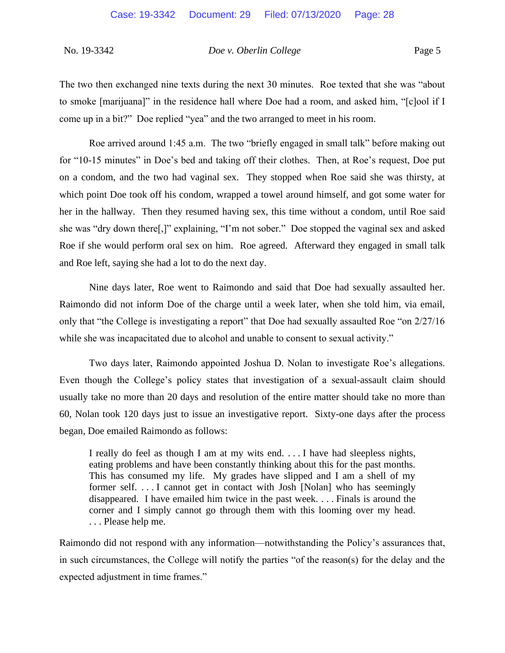The two then exchanged nine texts during the next 30 minutes. Roe texted that she was "about to smoke [marijuana]" in the residence hall where Doe had a room, and asked him, "[c]ool if I come up in a bit?" Doe replied "yea" and the two arranged to meet in his room.

Roe arrived around 1:45 a.m. The two "briefly engaged in small talk" before making out for "10-15 minutes" in Doe's bed and taking off their clothes. Then, at Roe's request, Doe put on a condom, and the two had vaginal sex. They stopped when Roe said she was thirsty, at which point Doe took off his condom, wrapped a towel around himself, and got some water for her in the hallway. Then they resumed having sex, this time without a condom, until Roe said she was "dry down there[,]" explaining, "I'm not sober." Doe stopped the vaginal sex and asked Roe if she would perform oral sex on him. Roe agreed. Afterward they engaged in small talk and Roe left, saying she had a lot to do the next day.

Nine days later, Roe went to Raimondo and said that Doe had sexually assaulted her. Raimondo did not inform Doe of the charge until a week later, when she told him, via email, only that "the College is investigating a report" that Doe had sexually assaulted Roe "on 2/27/16 while she was incapacitated due to alcohol and unable to consent to sexual activity."

Two days later, Raimondo appointed Joshua D. Nolan to investigate Roe's allegations. Even though the College's policy states that investigation of a sexual-assault claim should usually take no more than 20 days and resolution of the entire matter should take no more than 60, Nolan took 120 days just to issue an investigative report. Sixty-one days after the process began, Doe emailed Raimondo as follows:

I really do feel as though I am at my wits end. . . . I have had sleepless nights, eating problems and have been constantly thinking about this for the past months. This has consumed my life. My grades have slipped and I am a shell of my former self. . . . I cannot get in contact with Josh [Nolan] who has seemingly disappeared. I have emailed him twice in the past week. . . . Finals is around the corner and I simply cannot go through them with this looming over my head. . . . Please help me.

Raimondo did not respond with any information—notwithstanding the Policy's assurances that, in such circumstances, the College will notify the parties "of the reason(s) for the delay and the expected adjustment in time frames."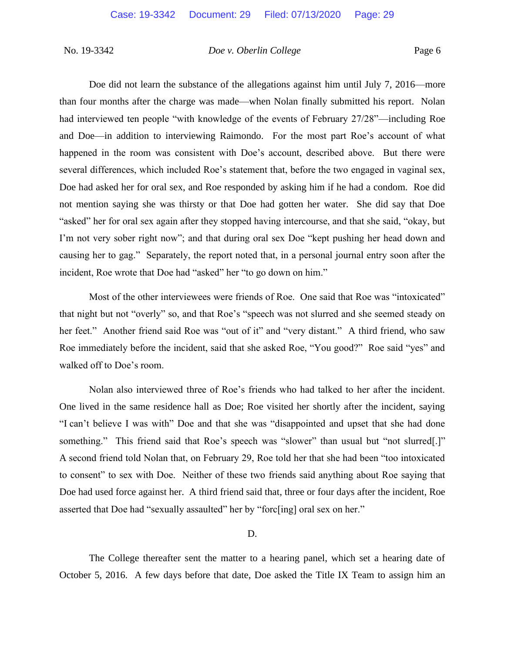Doe did not learn the substance of the allegations against him until July 7, 2016—more than four months after the charge was made—when Nolan finally submitted his report. Nolan had interviewed ten people "with knowledge of the events of February 27/28"—including Roe and Doe—in addition to interviewing Raimondo. For the most part Roe's account of what happened in the room was consistent with Doe's account, described above. But there were several differences, which included Roe's statement that, before the two engaged in vaginal sex, Doe had asked her for oral sex, and Roe responded by asking him if he had a condom. Roe did not mention saying she was thirsty or that Doe had gotten her water. She did say that Doe "asked" her for oral sex again after they stopped having intercourse, and that she said, "okay, but I'm not very sober right now"; and that during oral sex Doe "kept pushing her head down and causing her to gag." Separately, the report noted that, in a personal journal entry soon after the incident, Roe wrote that Doe had "asked" her "to go down on him."

Most of the other interviewees were friends of Roe. One said that Roe was "intoxicated" that night but not "overly" so, and that Roe's "speech was not slurred and she seemed steady on her feet." Another friend said Roe was "out of it" and "very distant." A third friend, who saw Roe immediately before the incident, said that she asked Roe, "You good?" Roe said "yes" and walked off to Doe's room.

Nolan also interviewed three of Roe's friends who had talked to her after the incident. One lived in the same residence hall as Doe; Roe visited her shortly after the incident, saying "I can't believe I was with" Doe and that she was "disappointed and upset that she had done something." This friend said that Roe's speech was "slower" than usual but "not slurred.]" A second friend told Nolan that, on February 29, Roe told her that she had been "too intoxicated to consent" to sex with Doe. Neither of these two friends said anything about Roe saying that Doe had used force against her. A third friend said that, three or four days after the incident, Roe asserted that Doe had "sexually assaulted" her by "forc[ing] oral sex on her."

D.

The College thereafter sent the matter to a hearing panel, which set a hearing date of October 5, 2016. A few days before that date, Doe asked the Title IX Team to assign him an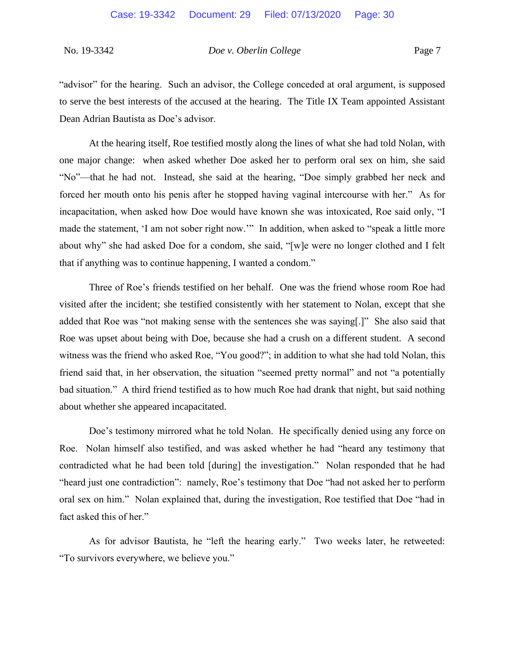"advisor" for the hearing. Such an advisor, the College conceded at oral argument, is supposed to serve the best interests of the accused at the hearing. The Title IX Team appointed Assistant Dean Adrian Bautista as Doe's advisor.

At the hearing itself, Roe testified mostly along the lines of what she had told Nolan, with one major change: when asked whether Doe asked her to perform oral sex on him, she said "No"—that he had not. Instead, she said at the hearing, "Doe simply grabbed her neck and forced her mouth onto his penis after he stopped having vaginal intercourse with her." As for incapacitation, when asked how Doe would have known she was intoxicated, Roe said only, "I made the statement, 'I am not sober right now.'" In addition, when asked to "speak a little more about why" she had asked Doe for a condom, she said, "[w]e were no longer clothed and I felt that if anything was to continue happening, I wanted a condom."

Three of Roe's friends testified on her behalf. One was the friend whose room Roe had visited after the incident; she testified consistently with her statement to Nolan, except that she added that Roe was "not making sense with the sentences she was saying[.]" She also said that Roe was upset about being with Doe, because she had a crush on a different student. A second witness was the friend who asked Roe, "You good?"; in addition to what she had told Nolan, this friend said that, in her observation, the situation "seemed pretty normal" and not "a potentially bad situation." A third friend testified as to how much Roe had drank that night, but said nothing about whether she appeared incapacitated.

Doe's testimony mirrored what he told Nolan. He specifically denied using any force on Roe. Nolan himself also testified, and was asked whether he had "heard any testimony that contradicted what he had been told [during] the investigation." Nolan responded that he had "heard just one contradiction": namely, Roe's testimony that Doe "had not asked her to perform oral sex on him." Nolan explained that, during the investigation, Roe testified that Doe "had in fact asked this of her."

As for advisor Bautista, he "left the hearing early." Two weeks later, he retweeted: "To survivors everywhere, we believe you."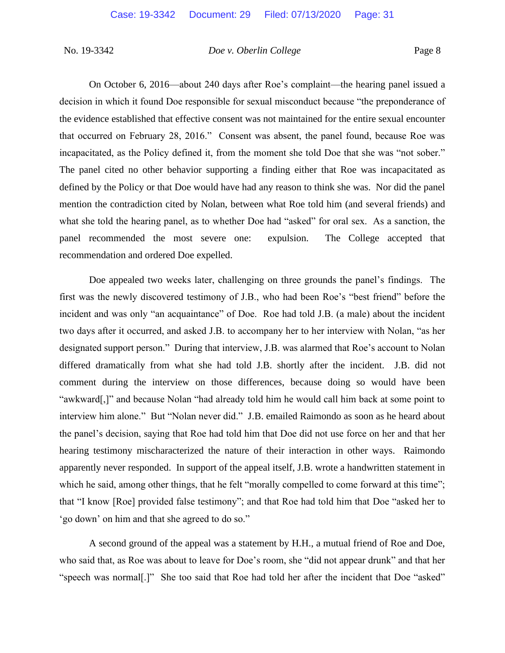On October 6, 2016—about 240 days after Roe's complaint—the hearing panel issued a decision in which it found Doe responsible for sexual misconduct because "the preponderance of the evidence established that effective consent was not maintained for the entire sexual encounter that occurred on February 28, 2016." Consent was absent, the panel found, because Roe was incapacitated, as the Policy defined it, from the moment she told Doe that she was "not sober." The panel cited no other behavior supporting a finding either that Roe was incapacitated as defined by the Policy or that Doe would have had any reason to think she was. Nor did the panel mention the contradiction cited by Nolan, between what Roe told him (and several friends) and what she told the hearing panel, as to whether Doe had "asked" for oral sex. As a sanction, the panel recommended the most severe one: expulsion. The College accepted that recommendation and ordered Doe expelled.

Doe appealed two weeks later, challenging on three grounds the panel's findings. The first was the newly discovered testimony of J.B., who had been Roe's "best friend" before the incident and was only "an acquaintance" of Doe. Roe had told J.B. (a male) about the incident two days after it occurred, and asked J.B. to accompany her to her interview with Nolan, "as her designated support person." During that interview, J.B. was alarmed that Roe's account to Nolan differed dramatically from what she had told J.B. shortly after the incident. J.B. did not comment during the interview on those differences, because doing so would have been "awkward[,]" and because Nolan "had already told him he would call him back at some point to interview him alone." But "Nolan never did." J.B. emailed Raimondo as soon as he heard about the panel's decision, saying that Roe had told him that Doe did not use force on her and that her hearing testimony mischaracterized the nature of their interaction in other ways. Raimondo apparently never responded. In support of the appeal itself, J.B. wrote a handwritten statement in which he said, among other things, that he felt "morally compelled to come forward at this time"; that "I know [Roe] provided false testimony"; and that Roe had told him that Doe "asked her to 'go down' on him and that she agreed to do so."

A second ground of the appeal was a statement by H.H., a mutual friend of Roe and Doe, who said that, as Roe was about to leave for Doe's room, she "did not appear drunk" and that her "speech was normal[.]" She too said that Roe had told her after the incident that Doe "asked"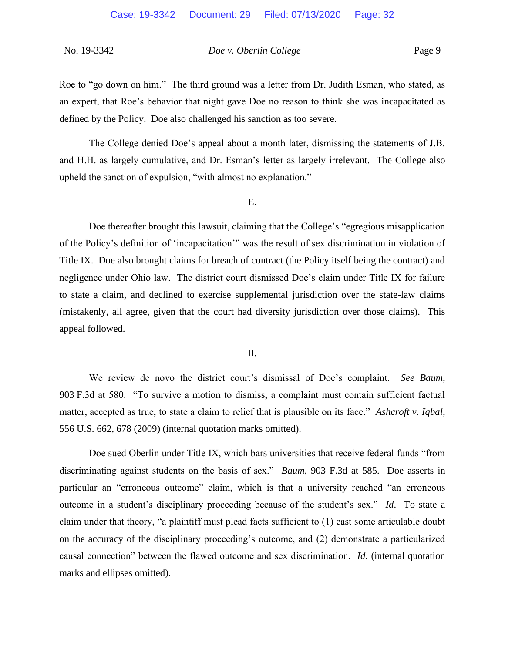Roe to "go down on him." The third ground was a letter from Dr. Judith Esman, who stated, as an expert, that Roe's behavior that night gave Doe no reason to think she was incapacitated as defined by the Policy. Doe also challenged his sanction as too severe.

The College denied Doe's appeal about a month later, dismissing the statements of J.B. and H.H. as largely cumulative, and Dr. Esman's letter as largely irrelevant. The College also upheld the sanction of expulsion, "with almost no explanation."

#### E.

Doe thereafter brought this lawsuit, claiming that the College's "egregious misapplication of the Policy's definition of 'incapacitation'" was the result of sex discrimination in violation of Title IX. Doe also brought claims for breach of contract (the Policy itself being the contract) and negligence under Ohio law. The district court dismissed Doe's claim under Title IX for failure to state a claim, and declined to exercise supplemental jurisdiction over the state-law claims (mistakenly, all agree, given that the court had diversity jurisdiction over those claims). This appeal followed.

#### II.

We review de novo the district court's dismissal of Doe's complaint. *See Baum*, 903 F.3d at 580. "To survive a motion to dismiss, a complaint must contain sufficient factual matter, accepted as true, to state a claim to relief that is plausible on its face." *Ashcroft v. Iqbal*, 556 U.S. 662, 678 (2009) (internal quotation marks omitted).

Doe sued Oberlin under Title IX, which bars universities that receive federal funds "from discriminating against students on the basis of sex." *Baum*, 903 F.3d at 585. Doe asserts in particular an "erroneous outcome" claim, which is that a university reached "an erroneous outcome in a student's disciplinary proceeding because of the student's sex." *Id*. To state a claim under that theory, "a plaintiff must plead facts sufficient to (1) cast some articulable doubt on the accuracy of the disciplinary proceeding's outcome, and (2) demonstrate a particularized causal connection" between the flawed outcome and sex discrimination. *Id*. (internal quotation marks and ellipses omitted).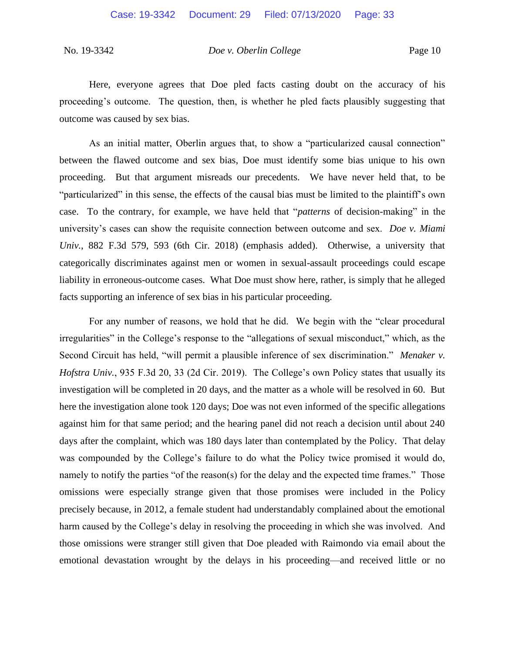Here, everyone agrees that Doe pled facts casting doubt on the accuracy of his proceeding's outcome. The question, then, is whether he pled facts plausibly suggesting that outcome was caused by sex bias.

As an initial matter, Oberlin argues that, to show a "particularized causal connection" between the flawed outcome and sex bias, Doe must identify some bias unique to his own proceeding. But that argument misreads our precedents. We have never held that, to be "particularized" in this sense, the effects of the causal bias must be limited to the plaintiff's own case. To the contrary, for example, we have held that "*patterns* of decision-making" in the university's cases can show the requisite connection between outcome and sex. *Doe v. Miami Univ.*, 882 F.3d 579, 593 (6th Cir. 2018) (emphasis added). Otherwise, a university that categorically discriminates against men or women in sexual-assault proceedings could escape liability in erroneous-outcome cases. What Doe must show here, rather, is simply that he alleged facts supporting an inference of sex bias in his particular proceeding.

For any number of reasons, we hold that he did. We begin with the "clear procedural irregularities" in the College's response to the "allegations of sexual misconduct," which, as the Second Circuit has held, "will permit a plausible inference of sex discrimination." *Menaker v. Hofstra Univ.*, 935 F.3d 20, 33 (2d Cir. 2019). The College's own Policy states that usually its investigation will be completed in 20 days, and the matter as a whole will be resolved in 60. But here the investigation alone took 120 days; Doe was not even informed of the specific allegations against him for that same period; and the hearing panel did not reach a decision until about 240 days after the complaint, which was 180 days later than contemplated by the Policy. That delay was compounded by the College's failure to do what the Policy twice promised it would do, namely to notify the parties "of the reason(s) for the delay and the expected time frames." Those omissions were especially strange given that those promises were included in the Policy precisely because, in 2012, a female student had understandably complained about the emotional harm caused by the College's delay in resolving the proceeding in which she was involved. And those omissions were stranger still given that Doe pleaded with Raimondo via email about the emotional devastation wrought by the delays in his proceeding—and received little or no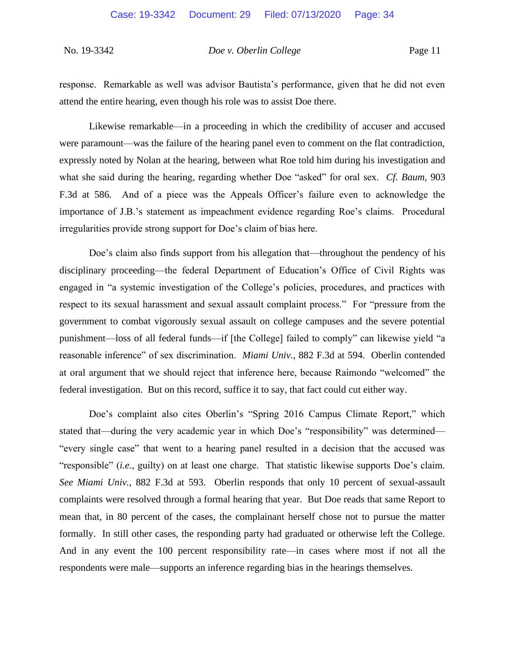response. Remarkable as well was advisor Bautista's performance, given that he did not even attend the entire hearing, even though his role was to assist Doe there.

Likewise remarkable—in a proceeding in which the credibility of accuser and accused were paramount—was the failure of the hearing panel even to comment on the flat contradiction, expressly noted by Nolan at the hearing, between what Roe told him during his investigation and what she said during the hearing, regarding whether Doe "asked" for oral sex. *Cf. Baum*, 903 F.3d at 586. And of a piece was the Appeals Officer's failure even to acknowledge the importance of J.B.'s statement as impeachment evidence regarding Roe's claims. Procedural irregularities provide strong support for Doe's claim of bias here.

Doe's claim also finds support from his allegation that—throughout the pendency of his disciplinary proceeding—the federal Department of Education's Office of Civil Rights was engaged in "a systemic investigation of the College's policies, procedures, and practices with respect to its sexual harassment and sexual assault complaint process." For "pressure from the government to combat vigorously sexual assault on college campuses and the severe potential punishment—loss of all federal funds—if [the College] failed to comply" can likewise yield "a reasonable inference" of sex discrimination. *Miami Univ.*, 882 F.3d at 594. Oberlin contended at oral argument that we should reject that inference here, because Raimondo "welcomed" the federal investigation. But on this record, suffice it to say, that fact could cut either way.

Doe's complaint also cites Oberlin's "Spring 2016 Campus Climate Report," which stated that—during the very academic year in which Doe's "responsibility" was determined— "every single case" that went to a hearing panel resulted in a decision that the accused was "responsible" (*i.e.*, guilty) on at least one charge. That statistic likewise supports Doe's claim. *See Miami Univ.*, 882 F.3d at 593. Oberlin responds that only 10 percent of sexual-assault complaints were resolved through a formal hearing that year. But Doe reads that same Report to mean that, in 80 percent of the cases, the complainant herself chose not to pursue the matter formally. In still other cases, the responding party had graduated or otherwise left the College. And in any event the 100 percent responsibility rate—in cases where most if not all the respondents were male—supports an inference regarding bias in the hearings themselves.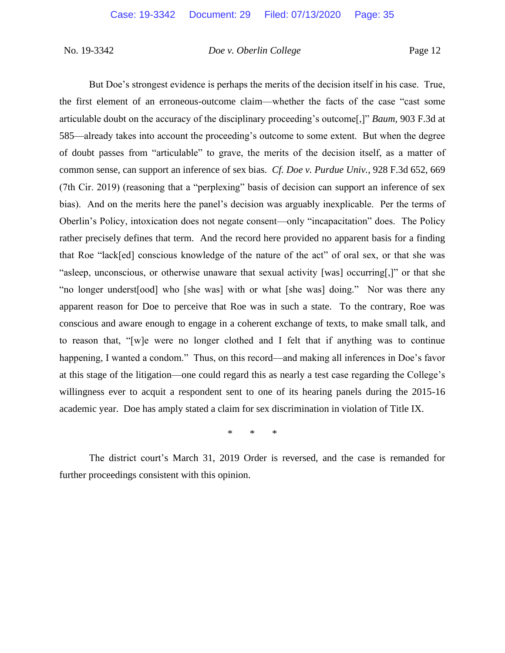But Doe's strongest evidence is perhaps the merits of the decision itself in his case. True, the first element of an erroneous-outcome claim—whether the facts of the case "cast some articulable doubt on the accuracy of the disciplinary proceeding's outcome[,]" *Baum,* 903 F.3d at 585—already takes into account the proceeding's outcome to some extent. But when the degree of doubt passes from "articulable" to grave, the merits of the decision itself, as a matter of common sense, can support an inference of sex bias. *Cf. Doe v. Purdue Univ.*, 928 F.3d 652, 669 (7th Cir. 2019) (reasoning that a "perplexing" basis of decision can support an inference of sex bias). And on the merits here the panel's decision was arguably inexplicable. Per the terms of Oberlin's Policy, intoxication does not negate consent—only "incapacitation" does. The Policy rather precisely defines that term. And the record here provided no apparent basis for a finding that Roe "lack[ed] conscious knowledge of the nature of the act" of oral sex, or that she was "asleep, unconscious, or otherwise unaware that sexual activity [was] occurring[,]" or that she "no longer underst[ood] who [she was] with or what [she was] doing." Nor was there any apparent reason for Doe to perceive that Roe was in such a state. To the contrary, Roe was conscious and aware enough to engage in a coherent exchange of texts, to make small talk, and to reason that, "[w]e were no longer clothed and I felt that if anything was to continue happening, I wanted a condom." Thus, on this record—and making all inferences in Doe's favor at this stage of the litigation—one could regard this as nearly a test case regarding the College's willingness ever to acquit a respondent sent to one of its hearing panels during the 2015-16 academic year. Doe has amply stated a claim for sex discrimination in violation of Title IX.

\* \* \*

The district court's March 31, 2019 Order is reversed, and the case is remanded for further proceedings consistent with this opinion.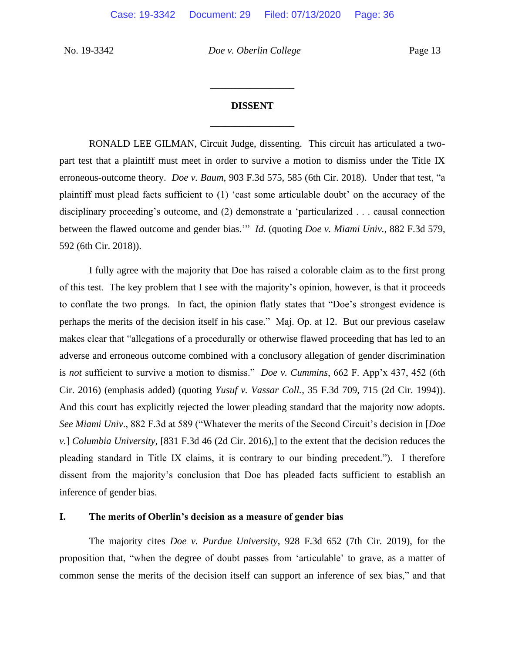# **DISSENT** \_\_\_\_\_\_\_\_\_\_\_\_\_\_\_\_\_

\_\_\_\_\_\_\_\_\_\_\_\_\_\_\_\_\_

RONALD LEE GILMAN, Circuit Judge, dissenting. This circuit has articulated a twopart test that a plaintiff must meet in order to survive a motion to dismiss under the Title IX erroneous-outcome theory. *Doe v. Baum*, 903 F.3d 575, 585 (6th Cir. 2018).Under that test, "a plaintiff must plead facts sufficient to (1) 'cast some articulable doubt' on the accuracy of the disciplinary proceeding's outcome, and (2) demonstrate a 'particularized . . . causal connection between the flawed outcome and gender bias.'" *Id.* (quoting *Doe v. Miami Univ.*, 882 F.3d 579, 592 (6th Cir. 2018)).

I fully agree with the majority that Doe has raised a colorable claim as to the first prong of this test. The key problem that I see with the majority's opinion, however, is that it proceeds to conflate the two prongs. In fact, the opinion flatly states that "Doe's strongest evidence is perhaps the merits of the decision itself in his case." Maj. Op. at 12. But our previous caselaw makes clear that "allegations of a procedurally or otherwise flawed proceeding that has led to an adverse and erroneous outcome combined with a conclusory allegation of gender discrimination is *not* sufficient to survive a motion to dismiss." *Doe v. Cummins*, 662 F. App'x 437, 452 (6th Cir. 2016) (emphasis added) (quoting *Yusuf v. Vassar Coll.*, 35 F.3d 709, 715 (2d Cir. 1994)). And this court has explicitly rejected the lower pleading standard that the majority now adopts. *See Miami Univ*., 882 F.3d at 589 ("Whatever the merits of the Second Circuit's decision in [*Doe v.*] *Columbia University*, [831 F.3d 46 (2d Cir. 2016),] to the extent that the decision reduces the pleading standard in Title IX claims, it is contrary to our binding precedent."). I therefore dissent from the majority's conclusion that Doe has pleaded facts sufficient to establish an inference of gender bias.

#### **I. The merits of Oberlin's decision as a measure of gender bias**

The majority cites *Doe v. Purdue University*, 928 F.3d 652 (7th Cir. 2019), for the proposition that, "when the degree of doubt passes from 'articulable' to grave, as a matter of common sense the merits of the decision itself can support an inference of sex bias," and that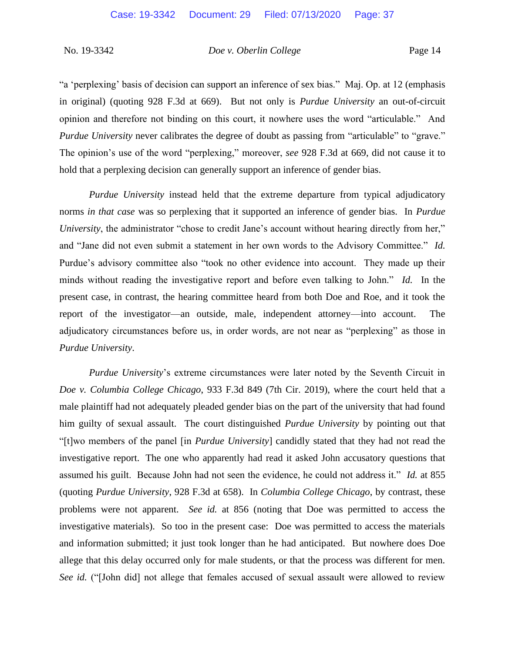"a 'perplexing' basis of decision can support an inference of sex bias." Maj. Op. at 12 (emphasis in original) (quoting 928 F.3d at 669).But not only is *Purdue University* an out-of-circuit opinion and therefore not binding on this court, it nowhere uses the word "articulable." And *Purdue University* never calibrates the degree of doubt as passing from "articulable" to "grave." The opinion's use of the word "perplexing," moreover, *see* 928 F.3d at 669, did not cause it to hold that a perplexing decision can generally support an inference of gender bias.

*Purdue University* instead held that the extreme departure from typical adjudicatory norms *in that case* was so perplexing that it supported an inference of gender bias. In *Purdue University*, the administrator "chose to credit Jane's account without hearing directly from her," and "Jane did not even submit a statement in her own words to the Advisory Committee." *Id.* Purdue's advisory committee also "took no other evidence into account. They made up their minds without reading the investigative report and before even talking to John." *Id.* In the present case, in contrast, the hearing committee heard from both Doe and Roe, and it took the report of the investigator—an outside, male, independent attorney—into account. The adjudicatory circumstances before us, in order words, are not near as "perplexing" as those in *Purdue University*.

*Purdue University*'s extreme circumstances were later noted by the Seventh Circuit in *Doe v. Columbia College Chicago*, 933 F.3d 849 (7th Cir. 2019), where the court held that a male plaintiff had not adequately pleaded gender bias on the part of the university that had found him guilty of sexual assault. The court distinguished *Purdue University* by pointing out that "[t]wo members of the panel [in *Purdue University*] candidly stated that they had not read the investigative report. The one who apparently had read it asked John accusatory questions that assumed his guilt. Because John had not seen the evidence, he could not address it." *Id.* at 855 (quoting *Purdue University*, 928 F.3d at 658). In *Columbia College Chicago*, by contrast, these problems were not apparent. *See id.* at 856 (noting that Doe was permitted to access the investigative materials). So too in the present case: Doe was permitted to access the materials and information submitted; it just took longer than he had anticipated. But nowhere does Doe allege that this delay occurred only for male students, or that the process was different for men. *See id.* ("[John did] not allege that females accused of sexual assault were allowed to review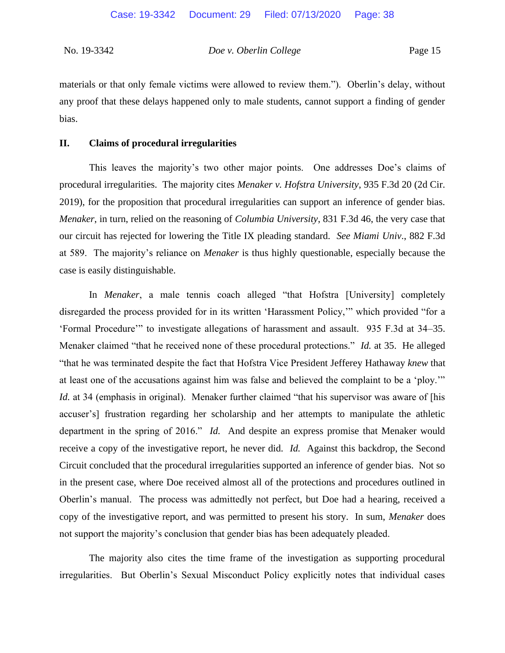materials or that only female victims were allowed to review them."). Oberlin's delay, without any proof that these delays happened only to male students, cannot support a finding of gender bias.

#### **II. Claims of procedural irregularities**

This leaves the majority's two other major points. One addresses Doe's claims of procedural irregularities. The majority cites *Menaker v. Hofstra University*, 935 F.3d 20 (2d Cir. 2019), for the proposition that procedural irregularities can support an inference of gender bias. *Menaker*, in turn, relied on the reasoning of *Columbia University*, 831 F.3d 46, the very case that our circuit has rejected for lowering the Title IX pleading standard. *See Miami Univ*., 882 F.3d at 589. The majority's reliance on *Menaker* is thus highly questionable, especially because the case is easily distinguishable.

In *Menaker*, a male tennis coach alleged "that Hofstra [University] completely disregarded the process provided for in its written 'Harassment Policy,'" which provided "for a 'Formal Procedure'" to investigate allegations of harassment and assault. 935 F.3d at 34–35. Menaker claimed "that he received none of these procedural protections." *Id.* at 35. He alleged "that he was terminated despite the fact that Hofstra Vice President Jefferey Hathaway *knew* that at least one of the accusations against him was false and believed the complaint to be a 'ploy.'" *Id.* at 34 (emphasis in original). Menaker further claimed "that his supervisor was aware of [his accuser's] frustration regarding her scholarship and her attempts to manipulate the athletic department in the spring of 2016." *Id.* And despite an express promise that Menaker would receive a copy of the investigative report, he never did. *Id.* Against this backdrop, the Second Circuit concluded that the procedural irregularities supported an inference of gender bias. Not so in the present case, where Doe received almost all of the protections and procedures outlined in Oberlin's manual. The process was admittedly not perfect, but Doe had a hearing, received a copy of the investigative report, and was permitted to present his story. In sum, *Menaker* does not support the majority's conclusion that gender bias has been adequately pleaded.

The majority also cites the time frame of the investigation as supporting procedural irregularities. But Oberlin's Sexual Misconduct Policy explicitly notes that individual cases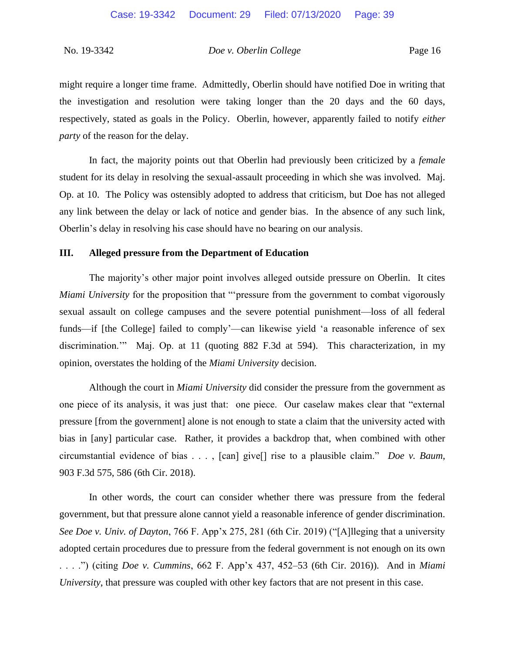might require a longer time frame. Admittedly, Oberlin should have notified Doe in writing that the investigation and resolution were taking longer than the 20 days and the 60 days, respectively, stated as goals in the Policy. Oberlin, however, apparently failed to notify *either party* of the reason for the delay.

In fact, the majority points out that Oberlin had previously been criticized by a *female* student for its delay in resolving the sexual-assault proceeding in which she was involved. Maj. Op. at 10. The Policy was ostensibly adopted to address that criticism, but Doe has not alleged any link between the delay or lack of notice and gender bias. In the absence of any such link, Oberlin's delay in resolving his case should have no bearing on our analysis.

#### **III. Alleged pressure from the Department of Education**

The majority's other major point involves alleged outside pressure on Oberlin. It cites *Miami University* for the proposition that "'pressure from the government to combat vigorously sexual assault on college campuses and the severe potential punishment—loss of all federal funds—if [the College] failed to comply'—can likewise yield 'a reasonable inference of sex discrimination.'" Maj. Op. at 11 (quoting 882 F.3d at 594).This characterization, in my opinion, overstates the holding of the *Miami University* decision.

Although the court in *Miami University* did consider the pressure from the government as one piece of its analysis, it was just that: one piece. Our caselaw makes clear that "external pressure [from the government] alone is not enough to state a claim that the university acted with bias in [any] particular case. Rather, it provides a backdrop that, when combined with other circumstantial evidence of bias . . . , [can] give[] rise to a plausible claim." *Doe v. Baum*, 903 F.3d 575, 586 (6th Cir. 2018).

In other words, the court can consider whether there was pressure from the federal government, but that pressure alone cannot yield a reasonable inference of gender discrimination. *See Doe v. Univ. of Dayton*, 766 F. App'x 275, 281 (6th Cir. 2019) ("[A]lleging that a university adopted certain procedures due to pressure from the federal government is not enough on its own . . . .") (citing *Doe v. Cummins*, 662 F. App'x 437, 452–53 (6th Cir. 2016)). And in *Miami University*, that pressure was coupled with other key factors that are not present in this case.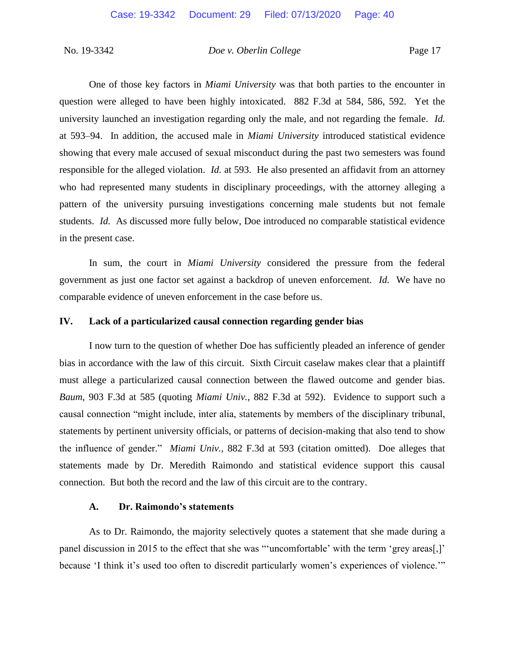One of those key factors in *Miami University* was that both parties to the encounter in question were alleged to have been highly intoxicated. 882 F.3d at 584, 586, 592. Yet the university launched an investigation regarding only the male, and not regarding the female. *Id.* at 593–94. In addition, the accused male in *Miami University* introduced statistical evidence showing that every male accused of sexual misconduct during the past two semesters was found responsible for the alleged violation. *Id.* at 593. He also presented an affidavit from an attorney who had represented many students in disciplinary proceedings, with the attorney alleging a pattern of the university pursuing investigations concerning male students but not female students. *Id.* As discussed more fully below, Doe introduced no comparable statistical evidence in the present case.

In sum, the court in *Miami University* considered the pressure from the federal government as just one factor set against a backdrop of uneven enforcement. *Id.* We have no comparable evidence of uneven enforcement in the case before us.

#### **IV. Lack of a particularized causal connection regarding gender bias**

I now turn to the question of whether Doe has sufficiently pleaded an inference of gender bias in accordance with the law of this circuit. Sixth Circuit caselaw makes clear that a plaintiff must allege a particularized causal connection between the flawed outcome and gender bias. *Baum*, 903 F.3d at 585 (quoting *Miami Univ.*, 882 F.3d at 592). Evidence to support such a causal connection "might include, inter alia, statements by members of the disciplinary tribunal, statements by pertinent university officials, or patterns of decision-making that also tend to show the influence of gender." *Miami Univ.*, 882 F.3d at 593 (citation omitted). Doe alleges that statements made by Dr. Meredith Raimondo and statistical evidence support this causal connection. But both the record and the law of this circuit are to the contrary.

#### **A. Dr. Raimondo's statements**

As to Dr. Raimondo, the majority selectively quotes a statement that she made during a panel discussion in 2015 to the effect that she was "'uncomfortable' with the term 'grey areas[,]' because 'I think it's used too often to discredit particularly women's experiences of violence."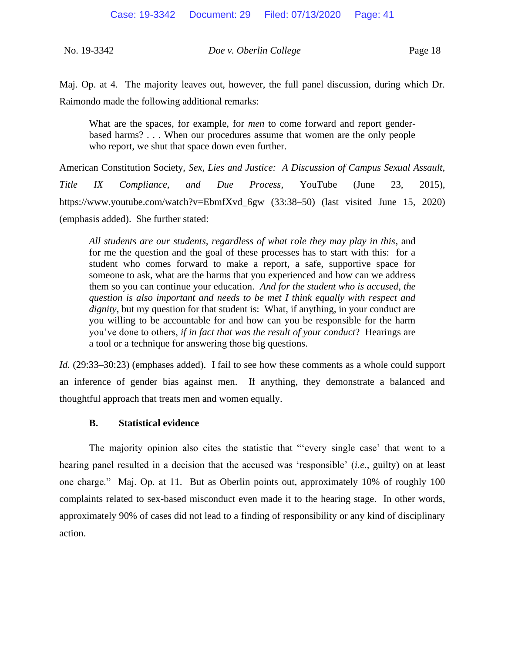Maj. Op. at 4. The majority leaves out, however, the full panel discussion, during which Dr. Raimondo made the following additional remarks:

What are the spaces, for example, for *men* to come forward and report genderbased harms? . . . When our procedures assume that women are the only people who report, we shut that space down even further.

American Constitution Society, *Sex, Lies and Justice: A Discussion of Campus Sexual Assault, Title IX Compliance, and Due Process*, YouTube (June 23, 2015), https://www.youtube.com/watch?v=EbmfXvd\_6gw (33:38–50) (last visited June 15, 2020) (emphasis added). She further stated:

*All students are our students, regardless of what role they may play in this*, and for me the question and the goal of these processes has to start with this: for a student who comes forward to make a report, a safe, supportive space for someone to ask, what are the harms that you experienced and how can we address them so you can continue your education. *And for the student who is accused*, *the question is also important and needs to be met I think equally with respect and dignity*, but my question for that student is: What, if anything, in your conduct are you willing to be accountable for and how can you be responsible for the harm you've done to others, *if in fact that was the result of your conduct*? Hearings are a tool or a technique for answering those big questions.

*Id.* (29:33–30:23) (emphases added). I fail to see how these comments as a whole could support an inference of gender bias against men. If anything, they demonstrate a balanced and thoughtful approach that treats men and women equally.

#### **B. Statistical evidence**

The majority opinion also cites the statistic that "'every single case' that went to a hearing panel resulted in a decision that the accused was 'responsible' (*i.e.*, guilty) on at least one charge." Maj. Op. at 11. But as Oberlin points out, approximately 10% of roughly 100 complaints related to sex-based misconduct even made it to the hearing stage. In other words, approximately 90% of cases did not lead to a finding of responsibility or any kind of disciplinary action.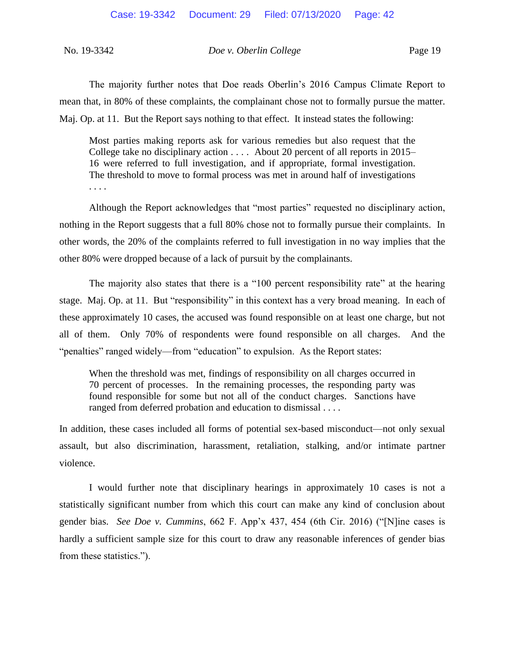The majority further notes that Doe reads Oberlin's 2016 Campus Climate Report to mean that, in 80% of these complaints, the complainant chose not to formally pursue the matter. Maj. Op. at 11. But the Report says nothing to that effect. It instead states the following:

Most parties making reports ask for various remedies but also request that the College take no disciplinary action . . . . About 20 percent of all reports in 2015– 16 were referred to full investigation, and if appropriate, formal investigation. The threshold to move to formal process was met in around half of investigations . . . .

Although the Report acknowledges that "most parties" requested no disciplinary action, nothing in the Report suggests that a full 80% chose not to formally pursue their complaints. In other words, the 20% of the complaints referred to full investigation in no way implies that the other 80% were dropped because of a lack of pursuit by the complainants.

The majority also states that there is a "100 percent responsibility rate" at the hearing stage. Maj. Op. at 11. But "responsibility" in this context has a very broad meaning. In each of these approximately 10 cases, the accused was found responsible on at least one charge, but not all of them. Only 70% of respondents were found responsible on all charges. And the "penalties" ranged widely—from "education" to expulsion. As the Report states:

When the threshold was met, findings of responsibility on all charges occurred in 70 percent of processes. In the remaining processes, the responding party was found responsible for some but not all of the conduct charges. Sanctions have ranged from deferred probation and education to dismissal . . . .

In addition, these cases included all forms of potential sex-based misconduct—not only sexual assault, but also discrimination, harassment, retaliation, stalking, and/or intimate partner violence.

I would further note that disciplinary hearings in approximately 10 cases is not a statistically significant number from which this court can make any kind of conclusion about gender bias. *See Doe v. Cummins*, 662 F. App'x 437, 454 (6th Cir. 2016) ("[N]ine cases is hardly a sufficient sample size for this court to draw any reasonable inferences of gender bias from these statistics.").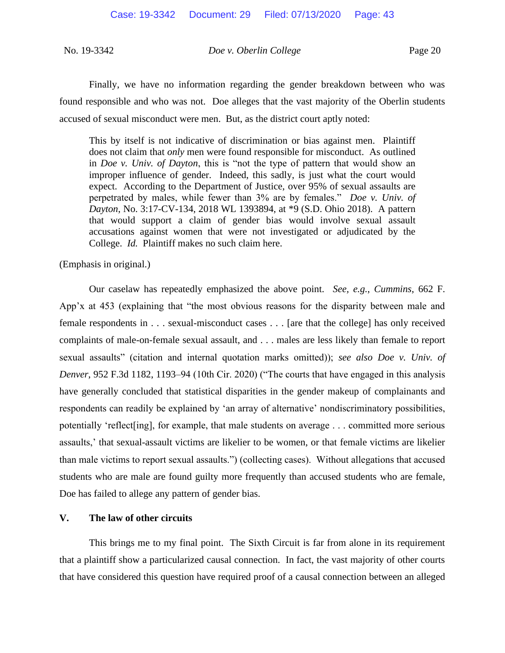Finally, we have no information regarding the gender breakdown between who was found responsible and who was not. Doe alleges that the vast majority of the Oberlin students accused of sexual misconduct were men. But, as the district court aptly noted:

This by itself is not indicative of discrimination or bias against men. Plaintiff does not claim that *only* men were found responsible for misconduct. As outlined in *Doe v. Univ. of Dayton*, this is "not the type of pattern that would show an improper influence of gender. Indeed, this sadly, is just what the court would expect. According to the Department of Justice, over 95% of sexual assaults are perpetrated by males, while fewer than 3% are by females." *Doe v. Univ. of Dayton*, No. 3:17-CV-134, 2018 WL 1393894, at \*9 (S.D. Ohio 2018). A pattern that would support a claim of gender bias would involve sexual assault accusations against women that were not investigated or adjudicated by the College. *Id.* Plaintiff makes no such claim here.

(Emphasis in original.)

Our caselaw has repeatedly emphasized the above point. *See, e.g.*, *Cummins*, 662 F. App'x at 453 (explaining that "the most obvious reasons for the disparity between male and female respondents in . . . sexual-misconduct cases . . . [are that the college] has only received complaints of male-on-female sexual assault, and . . . males are less likely than female to report sexual assaults" (citation and internal quotation marks omitted)); *see also Doe v. Univ. of Denver*, 952 F.3d 1182, 1193–94 (10th Cir. 2020) ("The courts that have engaged in this analysis have generally concluded that statistical disparities in the gender makeup of complainants and respondents can readily be explained by 'an array of alternative' nondiscriminatory possibilities, potentially 'reflect[ing], for example, that male students on average . . . committed more serious assaults,' that sexual-assault victims are likelier to be women, or that female victims are likelier than male victims to report sexual assaults.") (collecting cases). Without allegations that accused students who are male are found guilty more frequently than accused students who are female, Doe has failed to allege any pattern of gender bias.

#### **V. The law of other circuits**

This brings me to my final point. The Sixth Circuit is far from alone in its requirement that a plaintiff show a particularized causal connection. In fact, the vast majority of other courts that have considered this question have required proof of a causal connection between an alleged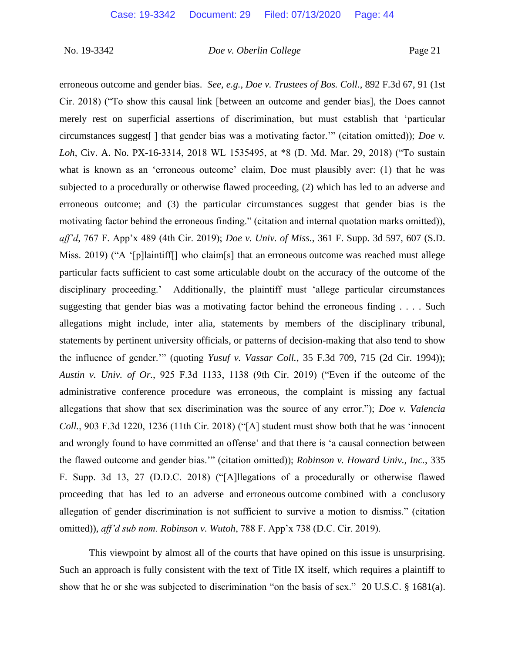erroneous outcome and gender bias. *See, e.g.*, *Doe v. Trustees of Bos. Coll.*, 892 F.3d 67, 91 (1st Cir. 2018) ("To show this causal link [between an outcome and gender bias], the Does cannot merely rest on superficial assertions of discrimination, but must establish that 'particular circumstances suggest[ ] that gender bias was a motivating factor.'" (citation omitted)); *Doe v. Loh*, Civ. A. No. PX-16-3314, 2018 WL 1535495, at \*8 (D. Md. Mar. 29, 2018) ("To sustain what is known as an 'erroneous outcome' claim, Doe must plausibly aver: (1) that he was subjected to a procedurally or otherwise flawed proceeding, (2) which has led to an adverse and erroneous outcome; and (3) the particular circumstances suggest that gender bias is the motivating factor behind the erroneous finding." (citation and internal quotation marks omitted)), *aff'd*, 767 F. App'x 489 (4th Cir. 2019); *Doe v. Univ. of Miss.*, 361 F. Supp. 3d 597, 607 (S.D. Miss. 2019) ("A '[p]laintiff[] who claim[s] that an erroneous outcome was reached must allege particular facts sufficient to cast some articulable doubt on the accuracy of the outcome of the disciplinary proceeding.' Additionally, the plaintiff must 'allege particular circumstances suggesting that gender bias was a motivating factor behind the erroneous finding . . . . Such allegations might include, inter alia, statements by members of the disciplinary tribunal, statements by pertinent university officials, or patterns of decision-making that also tend to show the influence of gender.'" (quoting *Yusuf v. Vassar Coll.*, 35 F.3d 709, 715 (2d Cir. 1994)); *Austin v. Univ. of Or.*, 925 F.3d 1133, 1138 (9th Cir. 2019) ("Even if the outcome of the administrative conference procedure was erroneous, the complaint is missing any factual allegations that show that sex discrimination was the source of any error."); *Doe v. Valencia Coll.*, 903 F.3d 1220, 1236 (11th Cir. 2018) ("[A] student must show both that he was 'innocent and wrongly found to have committed an offense' and that there is 'a causal connection between the flawed outcome and gender bias.'" (citation omitted)); *Robinson v. Howard Univ., Inc.*, 335 F. Supp. 3d 13, 27 (D.D.C. 2018) ("[A]llegations of a procedurally or otherwise flawed proceeding that has led to an adverse and erroneous outcome combined with a conclusory allegation of gender discrimination is not sufficient to survive a motion to dismiss." (citation omitted)), *aff'd sub nom. Robinson v. Wutoh*, 788 F. App'x 738 (D.C. Cir. 2019).

This viewpoint by almost all of the courts that have opined on this issue is unsurprising. Such an approach is fully consistent with the text of Title IX itself, which requires a plaintiff to show that he or she was subjected to discrimination "on the basis of sex." 20 U.S.C. § 1681(a).